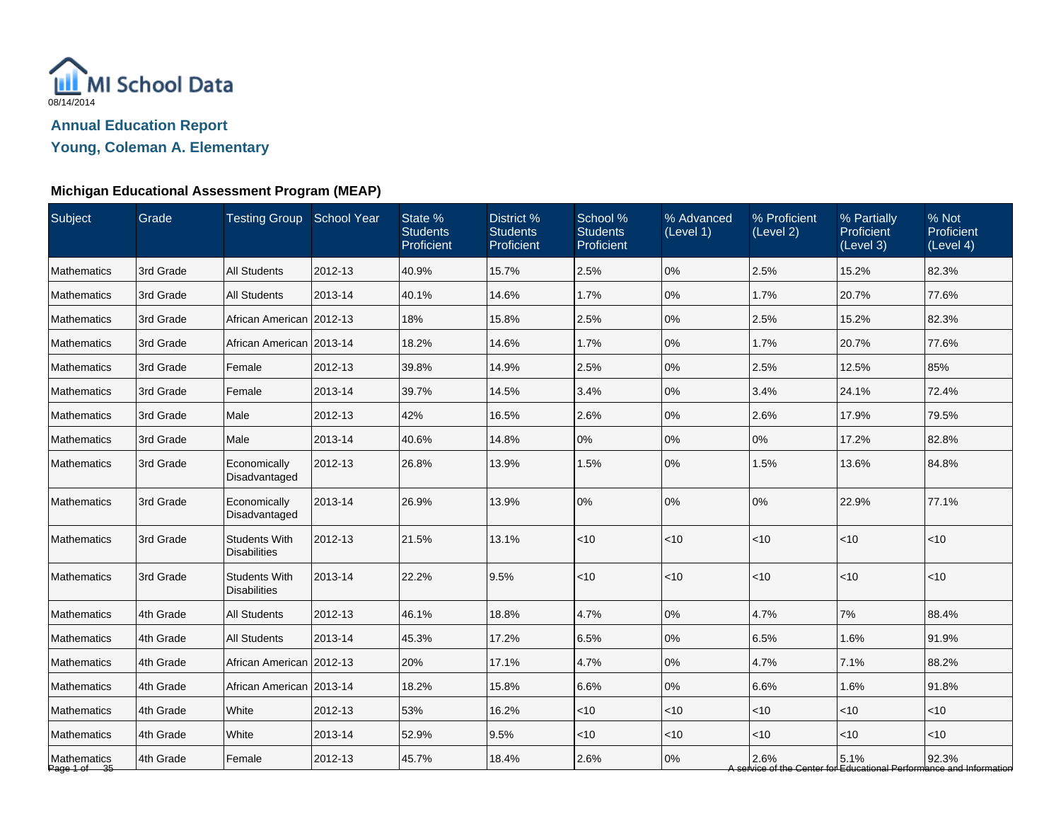

**Young, Coleman A. Elementary**

| Subject                     | Grade     | Testing Group School Year                   |         | State %<br><b>Students</b><br>Proficient | District %<br><b>Students</b><br>Proficient | School %<br><b>Students</b><br>Proficient | % Advanced<br>(Level 1) | % Proficient<br>(Level 2) | % Partially<br><b>Proficient</b><br>(Level 3) | % Not<br>Proficient<br>(Level 4)                                             |
|-----------------------------|-----------|---------------------------------------------|---------|------------------------------------------|---------------------------------------------|-------------------------------------------|-------------------------|---------------------------|-----------------------------------------------|------------------------------------------------------------------------------|
| Mathematics                 | 3rd Grade | <b>All Students</b>                         | 2012-13 | 40.9%                                    | 15.7%                                       | 2.5%                                      | 0%                      | 2.5%                      | 15.2%                                         | 82.3%                                                                        |
| <b>Mathematics</b>          | 3rd Grade | <b>All Students</b>                         | 2013-14 | 40.1%                                    | 14.6%                                       | 1.7%                                      | 0%                      | 1.7%                      | 20.7%                                         | 77.6%                                                                        |
| <b>Mathematics</b>          | 3rd Grade | African American 2012-13                    |         | 18%                                      | 15.8%                                       | 2.5%                                      | 0%                      | 2.5%                      | 15.2%                                         | 82.3%                                                                        |
| <b>Mathematics</b>          | 3rd Grade | African American 2013-14                    |         | 18.2%                                    | 14.6%                                       | 1.7%                                      | 0%                      | 1.7%                      | 20.7%                                         | 77.6%                                                                        |
| <b>Mathematics</b>          | 3rd Grade | Female                                      | 2012-13 | 39.8%                                    | 14.9%                                       | 2.5%                                      | 0%                      | 2.5%                      | 12.5%                                         | 85%                                                                          |
| <b>Mathematics</b>          | 3rd Grade | Female                                      | 2013-14 | 39.7%                                    | 14.5%                                       | 3.4%                                      | 0%                      | 3.4%                      | 24.1%                                         | 72.4%                                                                        |
| Mathematics                 | 3rd Grade | Male                                        | 2012-13 | 42%                                      | 16.5%                                       | 2.6%                                      | 0%                      | 2.6%                      | 17.9%                                         | 79.5%                                                                        |
| <b>Mathematics</b>          | 3rd Grade | Male                                        | 2013-14 | 40.6%                                    | 14.8%                                       | 0%                                        | 0%                      | 0%                        | 17.2%                                         | 82.8%                                                                        |
| <b>Mathematics</b>          | 3rd Grade | Economically<br>Disadvantaged               | 2012-13 | 26.8%                                    | 13.9%                                       | 1.5%                                      | 0%                      | 1.5%                      | 13.6%                                         | 84.8%                                                                        |
| <b>Mathematics</b>          | 3rd Grade | Economically<br>Disadvantaged               | 2013-14 | 26.9%                                    | 13.9%                                       | 0%                                        | 0%                      | 0%                        | 22.9%                                         | 77.1%                                                                        |
| <b>Mathematics</b>          | 3rd Grade | <b>Students With</b><br><b>Disabilities</b> | 2012-13 | 21.5%                                    | 13.1%                                       | $<10$                                     | < 10                    | < 10                      | $<$ 10                                        | $<$ 10                                                                       |
| Mathematics                 | 3rd Grade | <b>Students With</b><br><b>Disabilities</b> | 2013-14 | 22.2%                                    | 9.5%                                        | ~10                                       | < 10                    | $<$ 10                    | $<$ 10                                        | < 10                                                                         |
| Mathematics                 | 4th Grade | <b>All Students</b>                         | 2012-13 | 46.1%                                    | 18.8%                                       | 4.7%                                      | $0\%$                   | 4.7%                      | 7%                                            | 88.4%                                                                        |
| <b>Mathematics</b>          | 4th Grade | <b>All Students</b>                         | 2013-14 | 45.3%                                    | 17.2%                                       | 6.5%                                      | 0%                      | 6.5%                      | 1.6%                                          | 91.9%                                                                        |
| <b>Mathematics</b>          | 4th Grade | African American 2012-13                    |         | 20%                                      | 17.1%                                       | 4.7%                                      | 0%                      | 4.7%                      | 7.1%                                          | 88.2%                                                                        |
| <b>Mathematics</b>          | 4th Grade | African American   2013-14                  |         | 18.2%                                    | 15.8%                                       | 6.6%                                      | 0%                      | 6.6%                      | 1.6%                                          | 91.8%                                                                        |
| <b>Mathematics</b>          | 4th Grade | White                                       | 2012-13 | 53%                                      | 16.2%                                       | $<$ 10                                    | $<$ 10                  | $<$ 10                    | $<$ 10                                        | $<$ 10                                                                       |
| Mathematics                 | 4th Grade | White                                       | 2013-14 | 52.9%                                    | 9.5%                                        | ~10                                       | <10                     | $<$ 10                    | $<$ 10                                        | $<$ 10                                                                       |
| Mathematics<br>Page 1 of 35 | 4th Grade | Female                                      | 2012-13 | 45.7%                                    | 18.4%                                       | 2.6%                                      | 0%                      | 2.6%                      | 5.1%                                          | 92.3%<br>A service of the Center for Educational Performance and Information |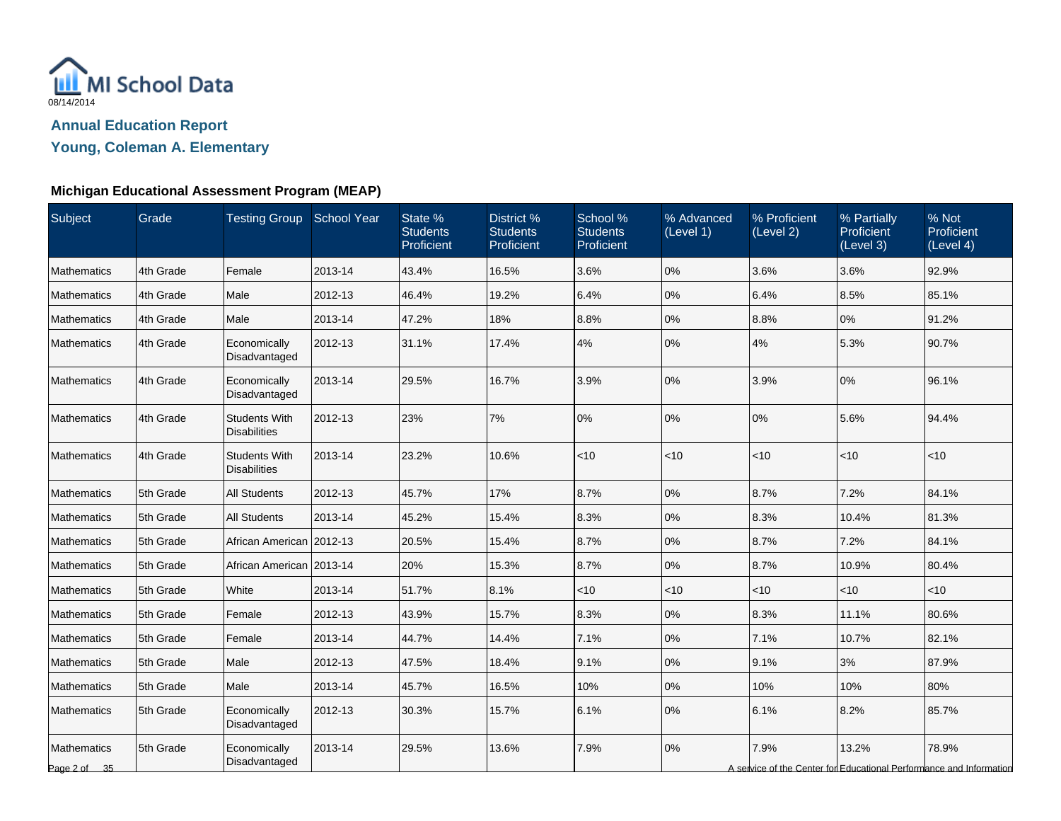

**Young, Coleman A. Elementary**

| <b>Subject</b>                     | Grade     | <b>Testing Group School Year</b>            |         | State %<br><b>Students</b><br>Proficient | District %<br><b>Students</b><br>Proficient | School %<br><b>Students</b><br>Proficient | % Advanced<br>(Level 1) | % Proficient<br>(Level 2) | % Partially<br>Proficient<br>(Level 3) | % Not<br>Proficient<br>(Level 4)                                             |
|------------------------------------|-----------|---------------------------------------------|---------|------------------------------------------|---------------------------------------------|-------------------------------------------|-------------------------|---------------------------|----------------------------------------|------------------------------------------------------------------------------|
| <b>Mathematics</b>                 | 4th Grade | Female                                      | 2013-14 | 43.4%                                    | 16.5%                                       | 3.6%                                      | 0%                      | 3.6%                      | 3.6%                                   | 92.9%                                                                        |
| <b>Mathematics</b>                 | 4th Grade | Male                                        | 2012-13 | 46.4%                                    | 19.2%                                       | 6.4%                                      | 0%                      | 6.4%                      | 8.5%                                   | 85.1%                                                                        |
| <b>Mathematics</b>                 | 4th Grade | Male                                        | 2013-14 | 47.2%                                    | 18%                                         | 8.8%                                      | 0%                      | 8.8%                      | 0%                                     | 91.2%                                                                        |
| <b>Mathematics</b>                 | 4th Grade | Economically<br>Disadvantaged               | 2012-13 | 31.1%                                    | 17.4%                                       | 4%                                        | 0%                      | 4%                        | 5.3%                                   | 90.7%                                                                        |
| <b>Mathematics</b>                 | 4th Grade | Economically<br>Disadvantaged               | 2013-14 | 29.5%                                    | 16.7%                                       | 3.9%                                      | 0%                      | 3.9%                      | 0%                                     | 96.1%                                                                        |
| <b>Mathematics</b>                 | 4th Grade | <b>Students With</b><br><b>Disabilities</b> | 2012-13 | 23%                                      | 7%                                          | 0%                                        | 0%                      | 0%                        | 5.6%                                   | 94.4%                                                                        |
| <b>Mathematics</b>                 | 4th Grade | <b>Students With</b><br><b>Disabilities</b> | 2013-14 | 23.2%                                    | 10.6%                                       | $<10$                                     | < 10                    | $<$ 10                    | $<$ 10                                 | < 10                                                                         |
| Mathematics                        | 5th Grade | <b>All Students</b>                         | 2012-13 | 45.7%                                    | 17%                                         | 8.7%                                      | 0%                      | 8.7%                      | 7.2%                                   | 84.1%                                                                        |
| <b>Mathematics</b>                 | 5th Grade | <b>All Students</b>                         | 2013-14 | 45.2%                                    | 15.4%                                       | 8.3%                                      | 0%                      | 8.3%                      | 10.4%                                  | 81.3%                                                                        |
| <b>Mathematics</b>                 | 5th Grade | African American 2012-13                    |         | 20.5%                                    | 15.4%                                       | 8.7%                                      | 0%                      | 8.7%                      | 7.2%                                   | 84.1%                                                                        |
| <b>Mathematics</b>                 | 5th Grade | African American 2013-14                    |         | 20%                                      | 15.3%                                       | 8.7%                                      | 0%                      | 8.7%                      | 10.9%                                  | 80.4%                                                                        |
| <b>Mathematics</b>                 | 5th Grade | White                                       | 2013-14 | 51.7%                                    | 8.1%                                        | $<$ 10                                    | < 10                    | $<$ 10                    | < 10                                   | $<$ 10                                                                       |
| Mathematics                        | 5th Grade | Female                                      | 2012-13 | 43.9%                                    | 15.7%                                       | 8.3%                                      | 0%                      | 8.3%                      | 11.1%                                  | 80.6%                                                                        |
| <b>Mathematics</b>                 | 5th Grade | Female                                      | 2013-14 | 44.7%                                    | 14.4%                                       | 7.1%                                      | 0%                      | 7.1%                      | 10.7%                                  | 82.1%                                                                        |
| <b>Mathematics</b>                 | 5th Grade | Male                                        | 2012-13 | 47.5%                                    | 18.4%                                       | 9.1%                                      | 0%                      | 9.1%                      | 3%                                     | 87.9%                                                                        |
| Mathematics                        | 5th Grade | Male                                        | 2013-14 | 45.7%                                    | 16.5%                                       | 10%                                       | 0%                      | 10%                       | 10%                                    | 80%                                                                          |
| <b>Mathematics</b>                 | 5th Grade | Economically<br>Disadvantaged               | 2012-13 | 30.3%                                    | 15.7%                                       | 6.1%                                      | 0%                      | 6.1%                      | 8.2%                                   | 85.7%                                                                        |
| <b>Mathematics</b><br>Page 2 of 35 | 5th Grade | Economically<br>Disadvantaged               | 2013-14 | 29.5%                                    | 13.6%                                       | 7.9%                                      | 0%                      | 7.9%                      | 13.2%                                  | 78.9%<br>A service of the Center for Educational Performance and Information |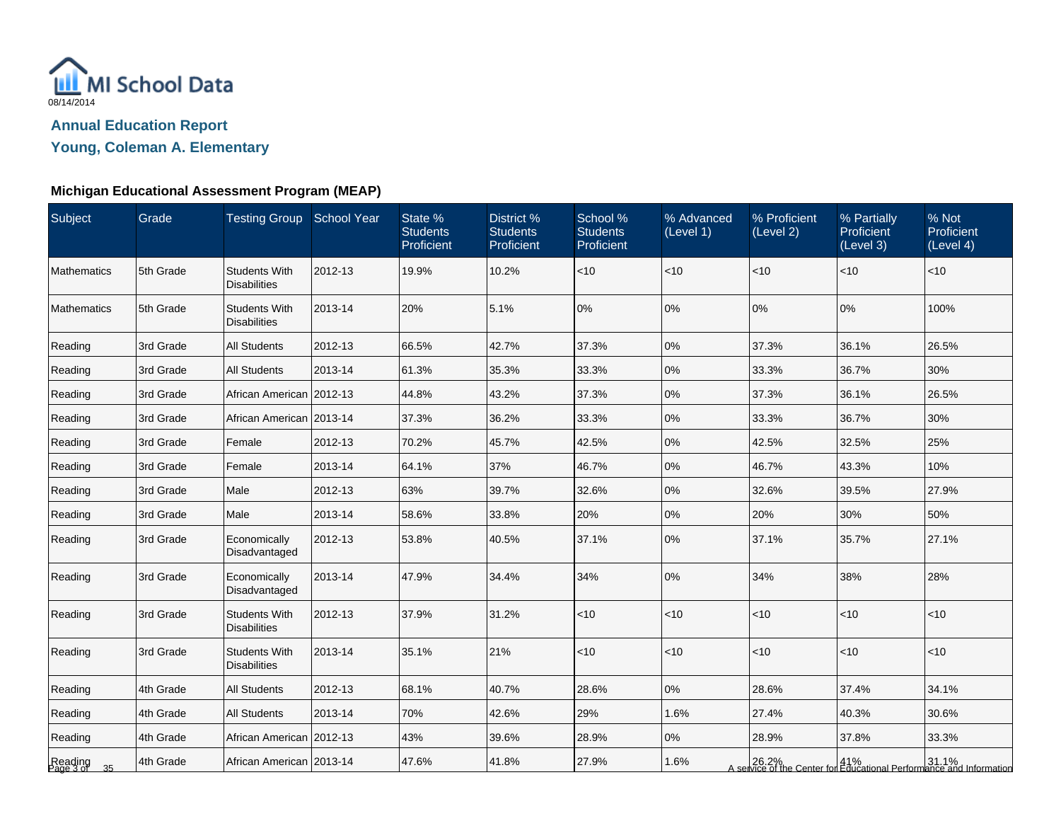

**Young, Coleman A. Elementary**

| Subject                    | Grade     | Testing Group School Year                   |         | State %<br><b>Students</b><br>Proficient | District %<br><b>Students</b><br>Proficient | School %<br><b>Students</b><br>Proficient | % Advanced<br>(Level 1) | % Proficient<br>(Level 2) | % Partially<br>Proficient<br>(Level 3) | % Not<br>Proficient<br>(Level 4)                                                           |
|----------------------------|-----------|---------------------------------------------|---------|------------------------------------------|---------------------------------------------|-------------------------------------------|-------------------------|---------------------------|----------------------------------------|--------------------------------------------------------------------------------------------|
| <b>Mathematics</b>         | 5th Grade | <b>Students With</b><br><b>Disabilities</b> | 2012-13 | 19.9%                                    | 10.2%                                       | < 10                                      | < 10                    | $ $ < 10                  | $<$ 10                                 | $<$ 10                                                                                     |
| Mathematics                | 5th Grade | <b>Students With</b><br><b>Disabilities</b> | 2013-14 | 20%                                      | 5.1%                                        | 0%                                        | 0%                      | 0%                        | 0%                                     | 100%                                                                                       |
| Reading                    | 3rd Grade | <b>All Students</b>                         | 2012-13 | 66.5%                                    | 42.7%                                       | 37.3%                                     | 0%                      | 37.3%                     | 36.1%                                  | 26.5%                                                                                      |
| Reading                    | 3rd Grade | <b>All Students</b>                         | 2013-14 | 61.3%                                    | 35.3%                                       | 33.3%                                     | 0%                      | 33.3%                     | 36.7%                                  | 30%                                                                                        |
| Reading                    | 3rd Grade | African American 2012-13                    |         | 44.8%                                    | 43.2%                                       | 37.3%                                     | 0%                      | 37.3%                     | 36.1%                                  | 26.5%                                                                                      |
| Reading                    | 3rd Grade | African American   2013-14                  |         | 37.3%                                    | 36.2%                                       | 33.3%                                     | 0%                      | 33.3%                     | 36.7%                                  | 30%                                                                                        |
| Reading                    | 3rd Grade | Female                                      | 2012-13 | 70.2%                                    | 45.7%                                       | 42.5%                                     | 0%                      | 42.5%                     | 32.5%                                  | 25%                                                                                        |
| Reading                    | 3rd Grade | Female                                      | 2013-14 | 64.1%                                    | 37%                                         | 46.7%                                     | 0%                      | 46.7%                     | 43.3%                                  | 10%                                                                                        |
| Reading                    | 3rd Grade | Male                                        | 2012-13 | 63%                                      | 39.7%                                       | 32.6%                                     | 0%                      | 32.6%                     | 39.5%                                  | 27.9%                                                                                      |
| Reading                    | 3rd Grade | Male                                        | 2013-14 | 58.6%                                    | 33.8%                                       | 20%                                       | 0%                      | 20%                       | 30%                                    | 50%                                                                                        |
| Reading                    | 3rd Grade | Economically<br>Disadvantaged               | 2012-13 | 53.8%                                    | 40.5%                                       | 37.1%                                     | 0%                      | 37.1%                     | 35.7%                                  | 27.1%                                                                                      |
| Reading                    | 3rd Grade | Economically<br>Disadvantaged               | 2013-14 | 47.9%                                    | 34.4%                                       | 34%                                       | 0%                      | 34%                       | 38%                                    | 28%                                                                                        |
| Reading                    | 3rd Grade | <b>Students With</b><br><b>Disabilities</b> | 2012-13 | 37.9%                                    | 31.2%                                       | < 10                                      | < 10                    | $\vert$ < 10              | < 10                                   | $<10$                                                                                      |
| Reading                    | 3rd Grade | <b>Students With</b><br><b>Disabilities</b> | 2013-14 | 35.1%                                    | 21%                                         | ~10                                       | < 10                    | $ $ < 10                  | < 10                                   | < 10                                                                                       |
| Reading                    | 4th Grade | <b>All Students</b>                         | 2012-13 | 68.1%                                    | 40.7%                                       | 28.6%                                     | 0%                      | 28.6%                     | 37.4%                                  | 34.1%                                                                                      |
| Reading                    | 4th Grade | <b>All Students</b>                         | 2013-14 | 70%                                      | 42.6%                                       | 29%                                       | 1.6%                    | 27.4%                     | 40.3%                                  | 30.6%                                                                                      |
| Reading                    | 4th Grade | African American   2012-13                  |         | 43%                                      | 39.6%                                       | 28.9%                                     | 0%                      | 28.9%                     | 37.8%                                  | 33.3%                                                                                      |
| Reading<br>Page 3 of<br>35 | 4th Grade | African American   2013-14                  |         | 47.6%                                    | 41.8%                                       | 27.9%                                     | 1.6%                    |                           |                                        | 26.2%   41%   31.1%<br>A service of the Center for Educational Performance and Information |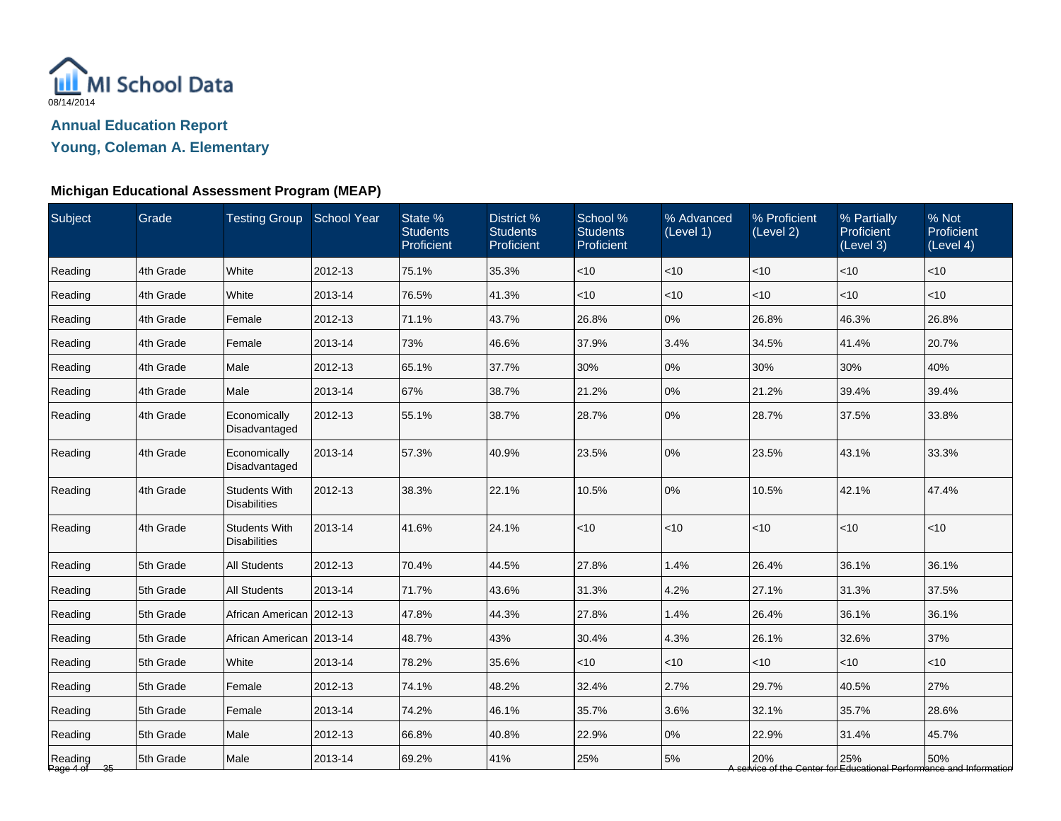

**Young, Coleman A. Elementary**

| Subject                 | Grade     | Testing Group School Year                   |         | State %<br><b>Students</b><br>Proficient | District %<br><b>Students</b><br>Proficient | School %<br><b>Students</b><br>Proficient | % Advanced<br>(Level 1) | % Proficient<br>(Level 2) | % Partially<br>Proficient<br>(Level 3) | % Not<br>Proficient<br>(Level 4)                                           |
|-------------------------|-----------|---------------------------------------------|---------|------------------------------------------|---------------------------------------------|-------------------------------------------|-------------------------|---------------------------|----------------------------------------|----------------------------------------------------------------------------|
| Reading                 | 4th Grade | White                                       | 2012-13 | 75.1%                                    | 35.3%                                       | $<$ 10                                    | $<$ 10                  | $<$ 10                    | < 10                                   | $<$ 10                                                                     |
| Reading                 | 4th Grade | White                                       | 2013-14 | 76.5%                                    | 41.3%                                       | < 10                                      | < 10                    | $<$ 10                    | < 10                                   | < 10                                                                       |
| Reading                 | 4th Grade | Female                                      | 2012-13 | 71.1%                                    | 43.7%                                       | 26.8%                                     | 0%                      | 26.8%                     | 46.3%                                  | 26.8%                                                                      |
| Reading                 | 4th Grade | Female                                      | 2013-14 | 73%                                      | 46.6%                                       | 37.9%                                     | 3.4%                    | 34.5%                     | 41.4%                                  | 20.7%                                                                      |
| Reading                 | 4th Grade | Male                                        | 2012-13 | 65.1%                                    | 37.7%                                       | 30%                                       | 0%                      | 30%                       | 30%                                    | 40%                                                                        |
| Reading                 | 4th Grade | Male                                        | 2013-14 | 67%                                      | 38.7%                                       | 21.2%                                     | 0%                      | 21.2%                     | 39.4%                                  | 39.4%                                                                      |
| Reading                 | 4th Grade | Economically<br>Disadvantaged               | 2012-13 | 55.1%                                    | 38.7%                                       | 28.7%                                     | 0%                      | 28.7%                     | 37.5%                                  | 33.8%                                                                      |
| Reading                 | 4th Grade | Economically<br>Disadvantaged               | 2013-14 | 57.3%                                    | 40.9%                                       | 23.5%                                     | 0%                      | 23.5%                     | 43.1%                                  | 33.3%                                                                      |
| Reading                 | 4th Grade | <b>Students With</b><br><b>Disabilities</b> | 2012-13 | 38.3%                                    | 22.1%                                       | 10.5%                                     | 0%                      | 10.5%                     | 42.1%                                  | 47.4%                                                                      |
| Reading                 | 4th Grade | <b>Students With</b><br><b>Disabilities</b> | 2013-14 | 41.6%                                    | 24.1%                                       | < 10                                      | $<$ 10                  | $<$ 10                    | $<$ 10                                 | < 10                                                                       |
| Reading                 | 5th Grade | <b>All Students</b>                         | 2012-13 | 70.4%                                    | 44.5%                                       | 27.8%                                     | 1.4%                    | 26.4%                     | 36.1%                                  | 36.1%                                                                      |
| Reading                 | 5th Grade | <b>All Students</b>                         | 2013-14 | 71.7%                                    | 43.6%                                       | 31.3%                                     | 4.2%                    | 27.1%                     | 31.3%                                  | 37.5%                                                                      |
| Reading                 | 5th Grade | African American 2012-13                    |         | 47.8%                                    | 44.3%                                       | 27.8%                                     | 1.4%                    | 26.4%                     | 36.1%                                  | 36.1%                                                                      |
| Reading                 | 5th Grade | African American   2013-14                  |         | 48.7%                                    | 43%                                         | 30.4%                                     | 4.3%                    | 26.1%                     | 32.6%                                  | 37%                                                                        |
| Reading                 | 5th Grade | White                                       | 2013-14 | 78.2%                                    | 35.6%                                       | $<$ 10                                    | $<$ 10                  | $<$ 10                    | $<$ 10                                 | $<$ 10                                                                     |
| Reading                 | 5th Grade | Female                                      | 2012-13 | 74.1%                                    | 48.2%                                       | 32.4%                                     | 2.7%                    | 29.7%                     | 40.5%                                  | 27%                                                                        |
| Reading                 | 5th Grade | Female                                      | 2013-14 | 74.2%                                    | 46.1%                                       | 35.7%                                     | 3.6%                    | 32.1%                     | 35.7%                                  | 28.6%                                                                      |
| Reading                 | 5th Grade | Male                                        | 2012-13 | 66.8%                                    | 40.8%                                       | 22.9%                                     | 0%                      | 22.9%                     | 31.4%                                  | 45.7%                                                                      |
| Reading<br>Page 4 of 35 | 5th Grade | Male                                        | 2013-14 | 69.2%                                    | 41%                                         | 25%                                       | 5%                      | 20%                       | 25%                                    | 50%<br>A service of the Center for Educational Performance and Information |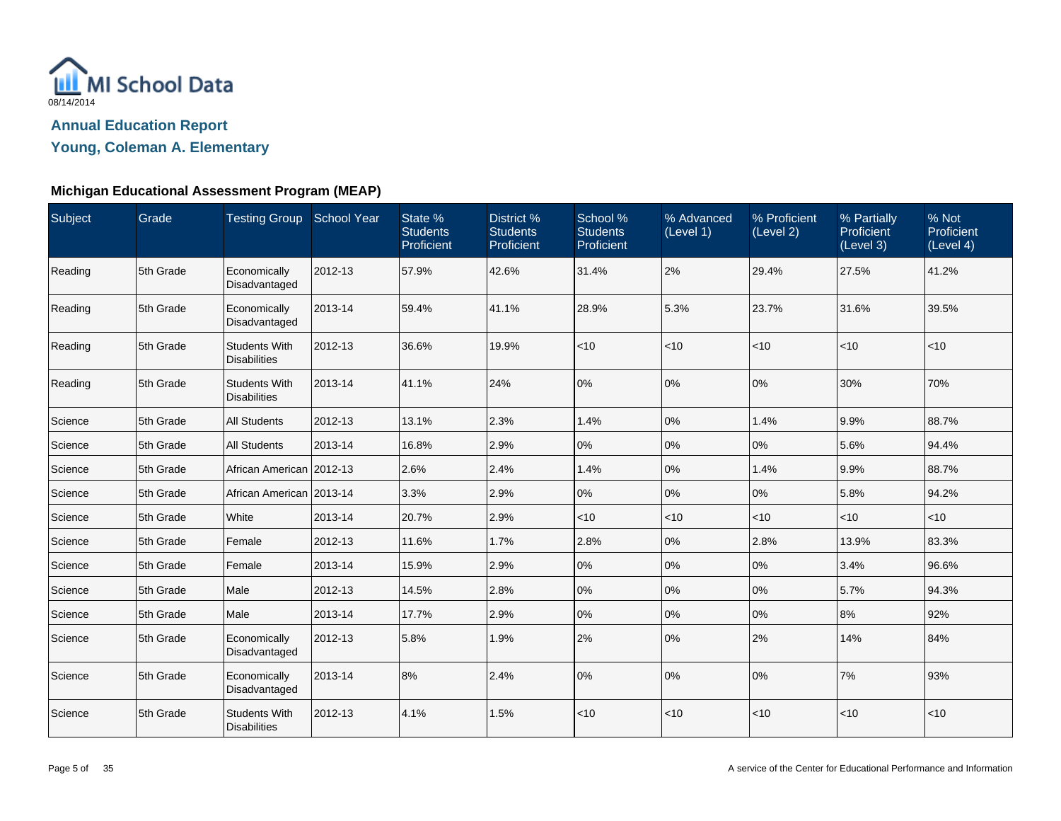

**Young, Coleman A. Elementary**

| Subject | Grade     | Testing Group School Year                   |         | State %<br><b>Students</b><br>Proficient | District %<br><b>Students</b><br>Proficient | School %<br><b>Students</b><br>Proficient | % Advanced<br>(Level 1) | % Proficient<br>(Level 2) | % Partially<br>Proficient<br>(Level 3) | % Not<br>Proficient<br>(Level 4) |
|---------|-----------|---------------------------------------------|---------|------------------------------------------|---------------------------------------------|-------------------------------------------|-------------------------|---------------------------|----------------------------------------|----------------------------------|
| Reading | 5th Grade | Economically<br>Disadvantaged               | 2012-13 | 57.9%                                    | 42.6%                                       | 31.4%                                     | 2%                      | 29.4%                     | 27.5%                                  | 41.2%                            |
| Reading | 5th Grade | Economically<br>Disadvantaged               | 2013-14 | 59.4%                                    | 41.1%                                       | 28.9%                                     | 5.3%                    | 23.7%                     | 31.6%                                  | 39.5%                            |
| Reading | 5th Grade | <b>Students With</b><br><b>Disabilities</b> | 2012-13 | 36.6%                                    | 19.9%                                       | < 10                                      | $<$ 10                  | $<$ 10                    | $<$ 10                                 | $<$ 10                           |
| Reading | 5th Grade | <b>Students With</b><br><b>Disabilities</b> | 2013-14 | 41.1%                                    | 24%                                         | 0%                                        | 0%                      | 0%                        | 30%                                    | 70%                              |
| Science | 5th Grade | <b>All Students</b>                         | 2012-13 | 13.1%                                    | 2.3%                                        | 1.4%                                      | 0%                      | 1.4%                      | 9.9%                                   | 88.7%                            |
| Science | 5th Grade | <b>All Students</b>                         | 2013-14 | 16.8%                                    | 2.9%                                        | 0%                                        | 0%                      | 0%                        | 5.6%                                   | 94.4%                            |
| Science | 5th Grade | African American 2012-13                    |         | 2.6%                                     | 2.4%                                        | 1.4%                                      | 0%                      | 1.4%                      | 9.9%                                   | 88.7%                            |
| Science | 5th Grade | African American 2013-14                    |         | 3.3%                                     | 2.9%                                        | 0%                                        | 0%                      | 0%                        | 5.8%                                   | 94.2%                            |
| Science | 5th Grade | White                                       | 2013-14 | 20.7%                                    | 2.9%                                        | $<$ 10                                    | $<$ 10                  | $<$ 10                    | $<$ 10                                 | $<$ 10                           |
| Science | 5th Grade | Female                                      | 2012-13 | 11.6%                                    | 1.7%                                        | 2.8%                                      | $0\%$                   | 2.8%                      | 13.9%                                  | 83.3%                            |
| Science | 5th Grade | Female                                      | 2013-14 | 15.9%                                    | 2.9%                                        | 0%                                        | 0%                      | 0%                        | 3.4%                                   | 96.6%                            |
| Science | 5th Grade | Male                                        | 2012-13 | 14.5%                                    | 2.8%                                        | 0%                                        | 0%                      | 0%                        | 5.7%                                   | 94.3%                            |
| Science | 5th Grade | Male                                        | 2013-14 | 17.7%                                    | 2.9%                                        | 0%                                        | 0%                      | 0%                        | 8%                                     | 92%                              |
| Science | 5th Grade | Economically<br>Disadvantaged               | 2012-13 | 5.8%                                     | 1.9%                                        | 2%                                        | 0%                      | 2%                        | 14%                                    | 84%                              |
| Science | 5th Grade | Economically<br>Disadvantaged               | 2013-14 | 8%                                       | 2.4%                                        | 0%                                        | 0%                      | 0%                        | 7%                                     | 93%                              |
| Science | 5th Grade | <b>Students With</b><br><b>Disabilities</b> | 2012-13 | 4.1%                                     | 1.5%                                        | < 10                                      | < 10                    | $<$ 10                    | $<10$                                  | < 10                             |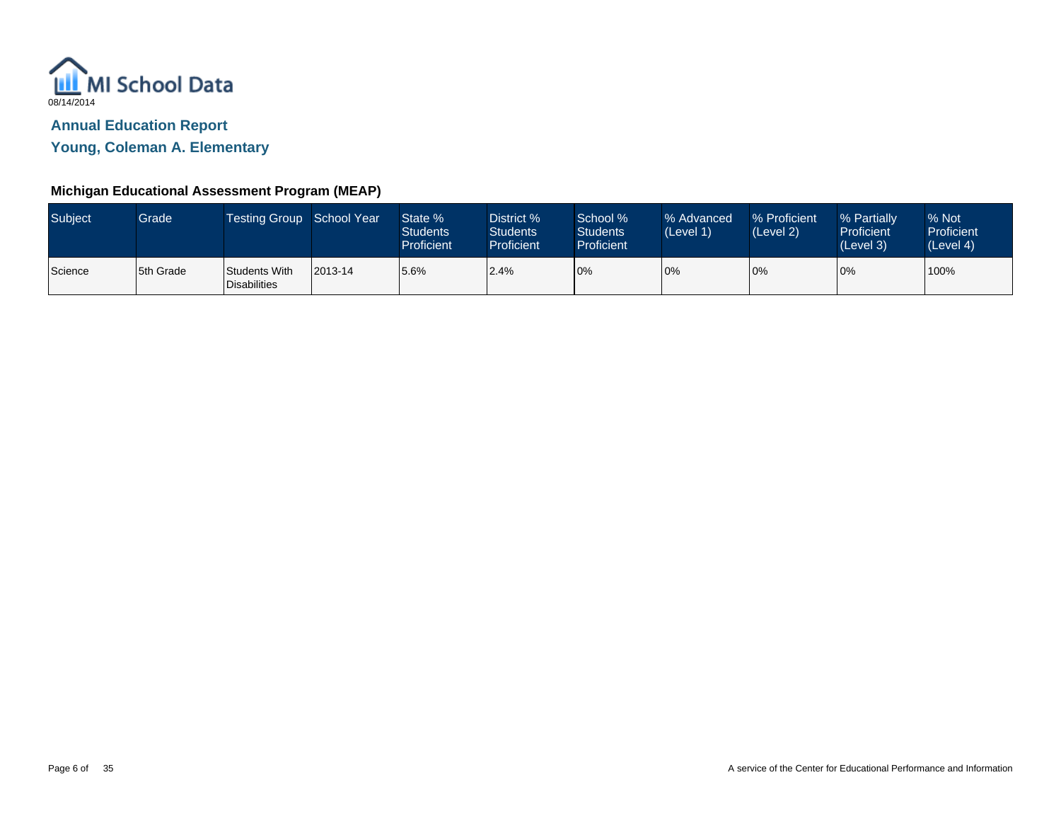

**Young, Coleman A. Elementary**

| <b>Subject</b> | Grade     | <b>Testing Group</b>                 | School Year | State %<br><b>Students</b><br>Proficient | District %<br><b>Students</b><br>Proficient | School %<br>Students<br><b>Proficient</b> | % Advanced<br>(Level 1) | % Proficient<br>(Level 2) | % Partially<br><b>Proficient</b><br>(Level 3) | % Not<br>Proficient<br>(Level 4) |
|----------------|-----------|--------------------------------------|-------------|------------------------------------------|---------------------------------------------|-------------------------------------------|-------------------------|---------------------------|-----------------------------------------------|----------------------------------|
| Science        | 5th Grade | Students With<br><b>Disabilities</b> | 2013-14     | 5.6%                                     | 2.4%                                        | 0%                                        | 0%                      | 10%                       | 0%                                            | 100%                             |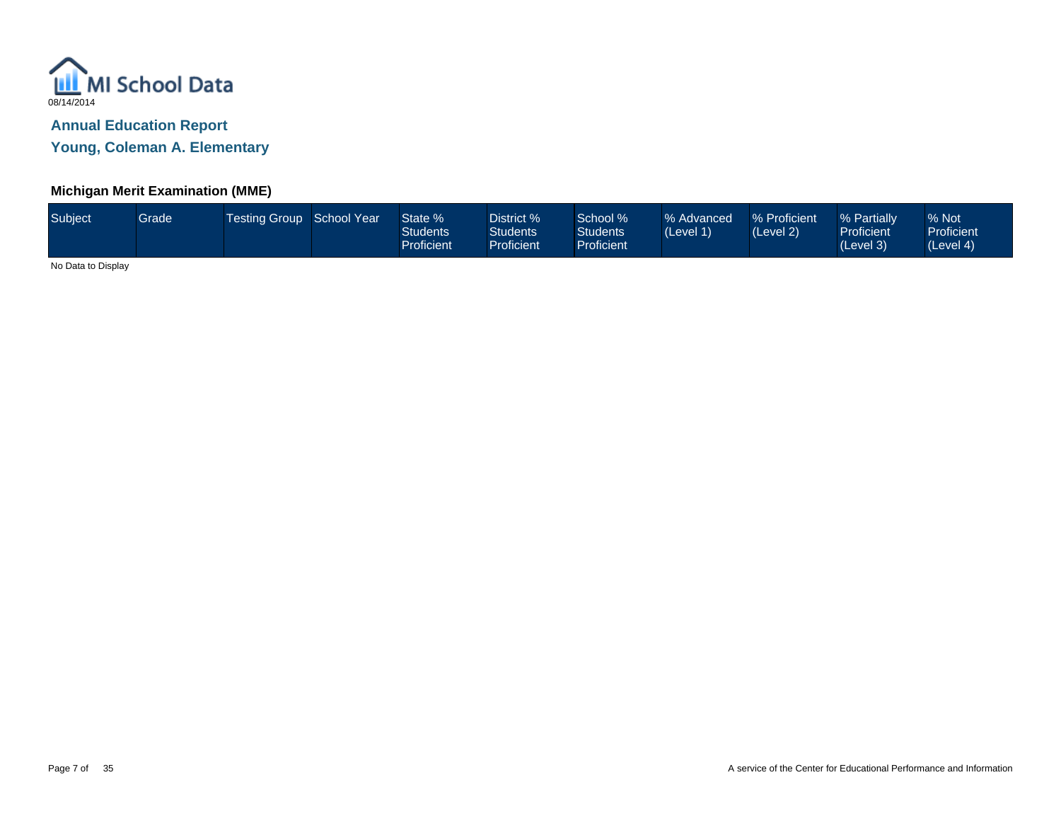

**Young, Coleman A. Elementary**

## **Michigan Merit Examination (MME)**

| Subject<br>District % '<br>% Proficient<br>Testing Group School Year<br>School %<br>State %<br>% Advanced<br>Grade<br>Students<br>Students <sup>1</sup><br><b>Students</b><br>(Level 1)<br>(Level 2)<br>Proficient<br><b>Proficient</b><br><b>Proficient</b> | % Not<br>% Partially<br><b>Proficient</b><br><b>Proficient</b><br>(Level 3)<br>(Level 4) |  |
|--------------------------------------------------------------------------------------------------------------------------------------------------------------------------------------------------------------------------------------------------------------|------------------------------------------------------------------------------------------|--|
|--------------------------------------------------------------------------------------------------------------------------------------------------------------------------------------------------------------------------------------------------------------|------------------------------------------------------------------------------------------|--|

No Data to Display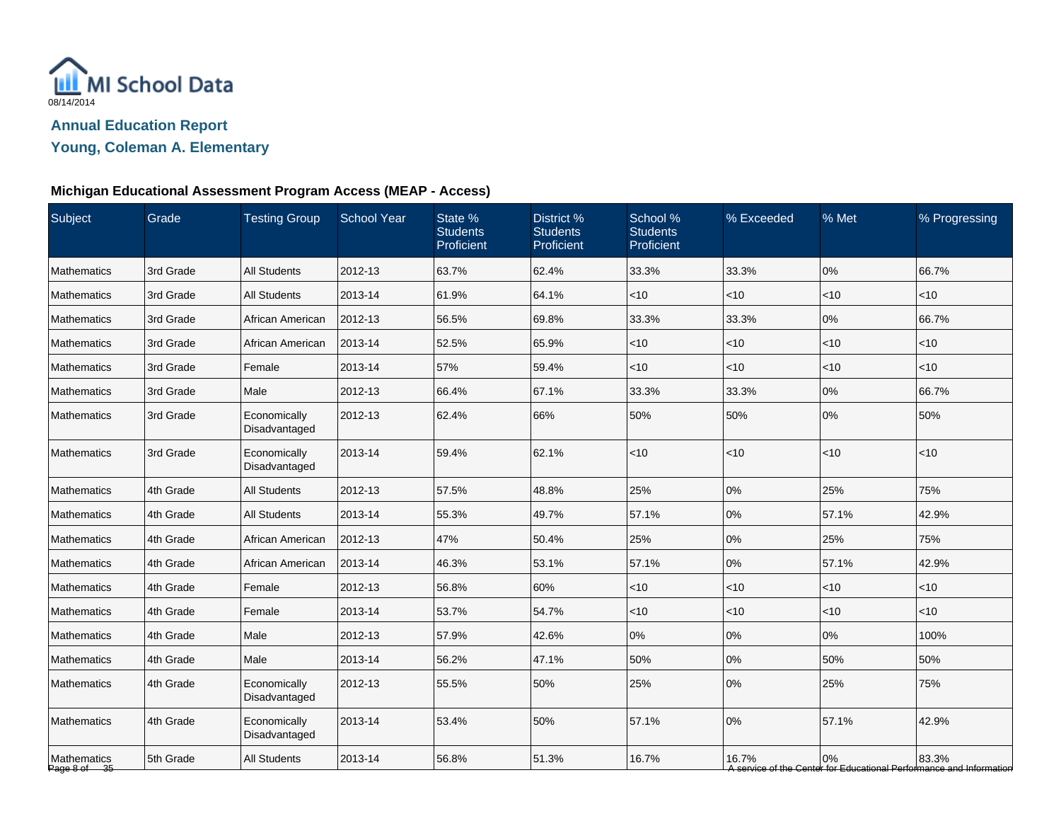

**Young, Coleman A. Elementary**

# **Michigan Educational Assessment Program Access (MEAP - Access)**

| Subject                     | Grade     | <b>Testing Group</b>          | <b>School Year</b> | State %<br><b>Students</b><br>Proficient | District %<br><b>Students</b><br>Proficient | School %<br><b>Students</b><br>Proficient | % Exceeded | % Met | % Progressing                                                                |
|-----------------------------|-----------|-------------------------------|--------------------|------------------------------------------|---------------------------------------------|-------------------------------------------|------------|-------|------------------------------------------------------------------------------|
| Mathematics                 | 3rd Grade | <b>All Students</b>           | 2012-13            | 63.7%                                    | 62.4%                                       | 33.3%                                     | 33.3%      | 0%    | 66.7%                                                                        |
| <b>Mathematics</b>          | 3rd Grade | <b>All Students</b>           | 2013-14            | 61.9%                                    | 64.1%                                       | < 10                                      | $<$ 10     | < 10  | < 10                                                                         |
| <b>Mathematics</b>          | 3rd Grade | African American              | 2012-13            | 56.5%                                    | 69.8%                                       | 33.3%                                     | 33.3%      | 0%    | 66.7%                                                                        |
| Mathematics                 | 3rd Grade | African American              | 2013-14            | 52.5%                                    | 65.9%                                       | $<$ 10                                    | $<$ 10     | < 10  | $<$ 10                                                                       |
| Mathematics                 | 3rd Grade | Female                        | 2013-14            | 57%                                      | 59.4%                                       | < 10                                      | $<$ 10     | < 10  | < 10                                                                         |
| <b>Mathematics</b>          | 3rd Grade | Male                          | 2012-13            | 66.4%                                    | 67.1%                                       | 33.3%                                     | 33.3%      | 0%    | 66.7%                                                                        |
| Mathematics                 | 3rd Grade | Economically<br>Disadvantaged | 2012-13            | 62.4%                                    | 66%                                         | 50%                                       | 50%        | 0%    | 50%                                                                          |
| Mathematics                 | 3rd Grade | Economically<br>Disadvantaged | 2013-14            | 59.4%                                    | 62.1%                                       | < 10                                      | < 10       | ~10   | < 10                                                                         |
| Mathematics                 | 4th Grade | <b>All Students</b>           | 2012-13            | 57.5%                                    | 48.8%                                       | 25%                                       | 0%         | 25%   | 75%                                                                          |
| <b>Mathematics</b>          | 4th Grade | <b>All Students</b>           | 2013-14            | 55.3%                                    | 49.7%                                       | 57.1%                                     | 0%         | 57.1% | 42.9%                                                                        |
| <b>Mathematics</b>          | 4th Grade | African American              | 2012-13            | 47%                                      | 50.4%                                       | 25%                                       | 0%         | 25%   | 75%                                                                          |
| Mathematics                 | 4th Grade | African American              | 2013-14            | 46.3%                                    | 53.1%                                       | 57.1%                                     | 0%         | 57.1% | 42.9%                                                                        |
| <b>Mathematics</b>          | 4th Grade | Female                        | 2012-13            | 56.8%                                    | 60%                                         | < 10                                      | < 10       | < 10  | $<$ 10                                                                       |
| Mathematics                 | 4th Grade | Female                        | 2013-14            | 53.7%                                    | 54.7%                                       | $<$ 10                                    | $<$ 10     | < 10  | $<$ 10                                                                       |
| <b>Mathematics</b>          | 4th Grade | Male                          | 2012-13            | 57.9%                                    | 42.6%                                       | 0%                                        | 0%         | 0%    | 100%                                                                         |
| Mathematics                 | 4th Grade | Male                          | 2013-14            | 56.2%                                    | 47.1%                                       | 50%                                       | 0%         | 50%   | 50%                                                                          |
| Mathematics                 | 4th Grade | Economically<br>Disadvantaged | 2012-13            | 55.5%                                    | 50%                                         | 25%                                       | 0%         | 25%   | 75%                                                                          |
| <b>Mathematics</b>          | 4th Grade | Economically<br>Disadvantaged | 2013-14            | 53.4%                                    | 50%                                         | 57.1%                                     | 0%         | 57.1% | 42.9%                                                                        |
| Mathematics<br>Page 8 of 35 | 5th Grade | <b>All Students</b>           | 2013-14            | 56.8%                                    | 51.3%                                       | 16.7%                                     | 16.7%      | 0%    | 83.3%<br>A service of the Center for Educational Performance and Information |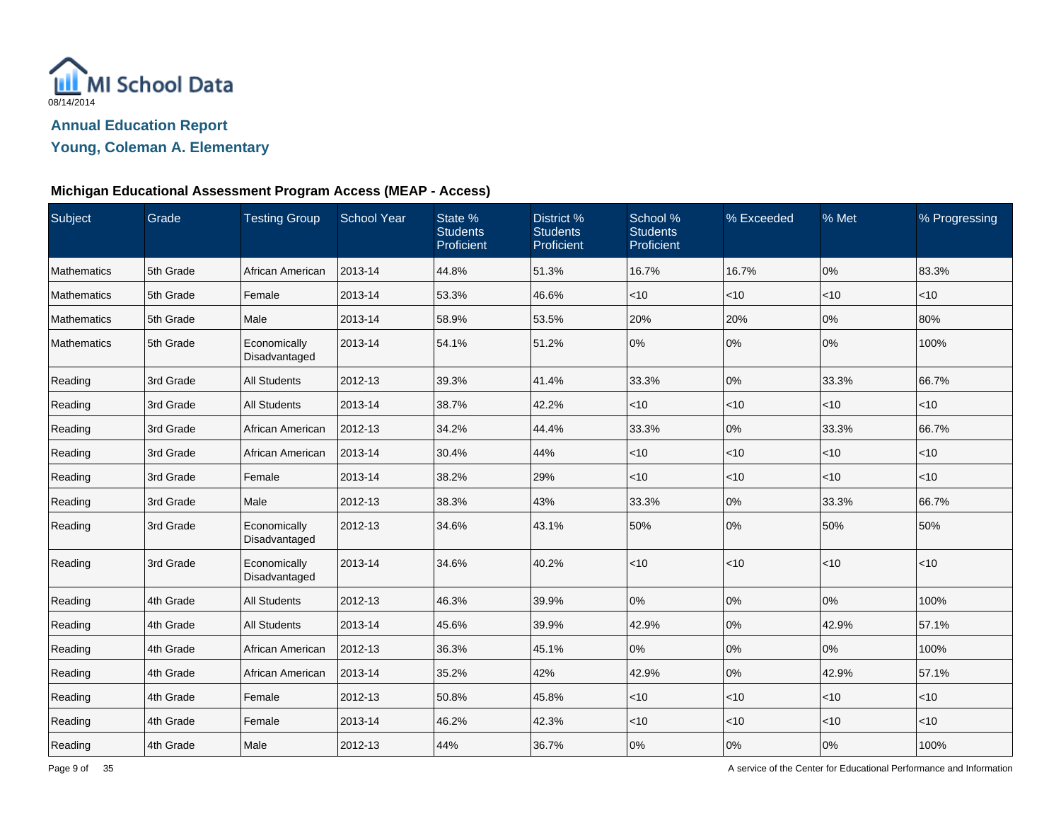

**Young, Coleman A. Elementary**

## **Michigan Educational Assessment Program Access (MEAP - Access)**

| Subject     | Grade     | <b>Testing Group</b>          | <b>School Year</b> | State %<br><b>Students</b><br>Proficient | District %<br><b>Students</b><br>Proficient | School %<br><b>Students</b><br>Proficient | % Exceeded | % Met  | % Progressing |
|-------------|-----------|-------------------------------|--------------------|------------------------------------------|---------------------------------------------|-------------------------------------------|------------|--------|---------------|
| Mathematics | 5th Grade | African American              | 2013-14            | 44.8%                                    | 51.3%                                       | 16.7%                                     | 16.7%      | 0%     | 83.3%         |
| Mathematics | 5th Grade | Female                        | 2013-14            | 53.3%                                    | 46.6%                                       | $<$ 10                                    | < 10       | < 10   | < 10          |
| Mathematics | 5th Grade | Male                          | 2013-14            | 58.9%                                    | 53.5%                                       | 20%                                       | 20%        | 0%     | 80%           |
| Mathematics | 5th Grade | Economically<br>Disadvantaged | 2013-14            | 54.1%                                    | 51.2%                                       | 0%                                        | 0%         | 0%     | 100%          |
| Reading     | 3rd Grade | All Students                  | 2012-13            | 39.3%                                    | 41.4%                                       | 33.3%                                     | 0%         | 33.3%  | 66.7%         |
| Reading     | 3rd Grade | <b>All Students</b>           | 2013-14            | 38.7%                                    | 42.2%                                       | $<$ 10                                    | < 10       | <10    | < 10          |
| Reading     | 3rd Grade | African American              | 2012-13            | 34.2%                                    | 44.4%                                       | 33.3%                                     | 0%         | 33.3%  | 66.7%         |
| Reading     | 3rd Grade | African American              | 2013-14            | 30.4%                                    | 44%                                         | $<$ 10                                    | $<$ 10     | < 10   | $<$ 10        |
| Reading     | 3rd Grade | Female                        | 2013-14            | 38.2%                                    | 29%                                         | $<$ 10                                    | <10        | < 10   | $<$ 10        |
| Reading     | 3rd Grade | Male                          | 2012-13            | 38.3%                                    | 43%                                         | 33.3%                                     | 0%         | 33.3%  | 66.7%         |
| Reading     | 3rd Grade | Economically<br>Disadvantaged | 2012-13            | 34.6%                                    | 43.1%                                       | 50%                                       | 0%         | 50%    | 50%           |
| Reading     | 3rd Grade | Economically<br>Disadvantaged | 2013-14            | 34.6%                                    | 40.2%                                       | $<$ 10                                    | < 10       | < 10   | $<$ 10        |
| Reading     | 4th Grade | <b>All Students</b>           | 2012-13            | 46.3%                                    | 39.9%                                       | 0%                                        | 0%         | 0%     | 100%          |
| Reading     | 4th Grade | All Students                  | 2013-14            | 45.6%                                    | 39.9%                                       | 42.9%                                     | 0%         | 42.9%  | 57.1%         |
| Reading     | 4th Grade | African American              | 2012-13            | 36.3%                                    | 45.1%                                       | 0%                                        | 0%         | 0%     | 100%          |
| Reading     | 4th Grade | African American              | 2013-14            | 35.2%                                    | 42%                                         | 42.9%                                     | 0%         | 42.9%  | 57.1%         |
| Reading     | 4th Grade | Female                        | 2012-13            | 50.8%                                    | 45.8%                                       | $<$ 10                                    | < 10       | < 10   | $<$ 10        |
| Reading     | 4th Grade | Female                        | 2013-14            | 46.2%                                    | 42.3%                                       | $<$ 10                                    | $<$ 10     | $<$ 10 | < 10          |
| Reading     | 4th Grade | Male                          | 2012-13            | 44%                                      | 36.7%                                       | 0%                                        | 0%         | 0%     | 100%          |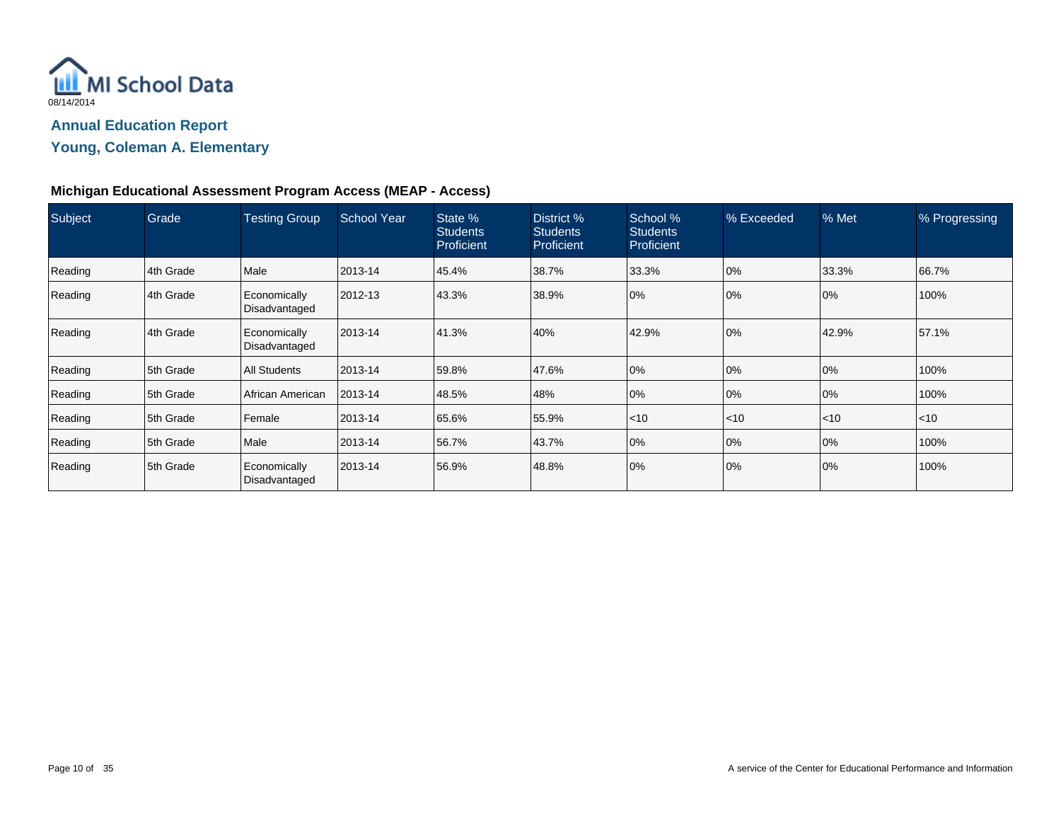

## **Young, Coleman A. Elementary**

## **Michigan Educational Assessment Program Access (MEAP - Access)**

| Subject | Grade       | <b>Testing Group</b>          | <b>School Year</b> | State %<br><b>Students</b><br>Proficient | District %<br><b>Students</b><br><b>Proficient</b> | School %<br><b>Students</b><br>Proficient | % Exceeded | % Met | % Progressing |
|---------|-------------|-------------------------------|--------------------|------------------------------------------|----------------------------------------------------|-------------------------------------------|------------|-------|---------------|
| Reading | 4th Grade   | Male                          | 2013-14            | 45.4%                                    | 38.7%                                              | 33.3%                                     | 0%         | 33.3% | 66.7%         |
| Reading | 4th Grade   | Economically<br>Disadvantaged | 2012-13            | 43.3%                                    | 38.9%                                              | 0%                                        | 0%         | 10%   | 100%          |
| Reading | 4th Grade   | Economically<br>Disadvantaged | 2013-14            | 41.3%                                    | 40%                                                | 42.9%                                     | 0%         | 42.9% | 57.1%         |
| Reading | 5th Grade   | All Students                  | 2013-14            | 59.8%                                    | 47.6%                                              | 0%                                        | 0%         | 0%    | 100%          |
| Reading | l 5th Grade | African American              | 2013-14            | 48.5%                                    | 48%                                                | 0%                                        | 0%         | 0%    | 100%          |
| Reading | 5th Grade   | Female                        | 2013-14            | 65.6%                                    | 55.9%                                              | $\leq 10$                                 | $<$ 10     | < 10  | $<$ 10        |
| Reading | 5th Grade   | Male                          | 2013-14            | 56.7%                                    | 43.7%                                              | 0%                                        | 0%         | 0%    | 100%          |
| Reading | 5th Grade   | Economically<br>Disadvantaged | 2013-14            | 56.9%                                    | 48.8%                                              | 0%                                        | 0%         | 0%    | 100%          |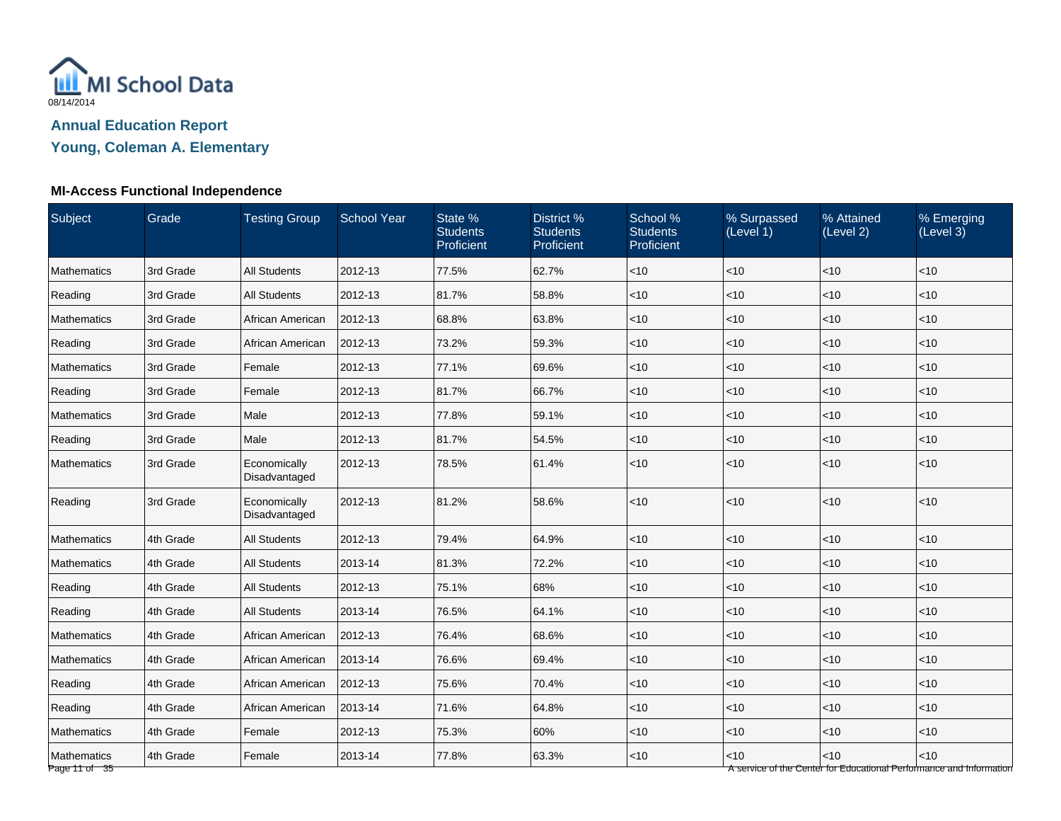

**Young, Coleman A. Elementary**

# **MI-Access Functional Independence**

| <b>Subject</b>               | Grade     | <b>Testing Group</b>          | <b>School Year</b> | State %<br><b>Students</b><br>Proficient | District %<br><b>Students</b><br>Proficient | School %<br><b>Students</b><br>Proficient | % Surpassed<br>(Level 1) | % Attained<br>(Level 2) | % Emerging<br>(Level 3)                                                       |
|------------------------------|-----------|-------------------------------|--------------------|------------------------------------------|---------------------------------------------|-------------------------------------------|--------------------------|-------------------------|-------------------------------------------------------------------------------|
| <b>Mathematics</b>           | 3rd Grade | <b>All Students</b>           | 2012-13            | 77.5%                                    | 62.7%                                       | $<$ 10                                    | $<$ 10                   | < 10                    | $<$ 10                                                                        |
| Reading                      | 3rd Grade | <b>All Students</b>           | 2012-13            | 81.7%                                    | 58.8%                                       | $<$ 10                                    | <10                      | < 10                    | < 10                                                                          |
| Mathematics                  | 3rd Grade | African American              | 2012-13            | 68.8%                                    | 63.8%                                       | $<$ 10                                    | <10                      | <10                     | < 10                                                                          |
| Reading                      | 3rd Grade | African American              | 2012-13            | 73.2%                                    | 59.3%                                       | $<$ 10                                    | < 10                     | < 10                    | < 10                                                                          |
| Mathematics                  | 3rd Grade | Female                        | 2012-13            | 77.1%                                    | 69.6%                                       | $<$ 10                                    | $<$ 10                   | <10                     | $<$ 10                                                                        |
| Reading                      | 3rd Grade | Female                        | 2012-13            | 81.7%                                    | 66.7%                                       | $<$ 10                                    | $<$ 10                   | < 10                    | $<$ 10                                                                        |
| Mathematics                  | 3rd Grade | Male                          | 2012-13            | 77.8%                                    | 59.1%                                       | $<$ 10                                    | <10                      | < 10                    | < 10                                                                          |
| Reading                      | 3rd Grade | Male                          | 2012-13            | 81.7%                                    | 54.5%                                       | $<$ 10                                    | <10                      | < 10                    | < 10                                                                          |
| Mathematics                  | 3rd Grade | Economically<br>Disadvantaged | 2012-13            | 78.5%                                    | 61.4%                                       | $<$ 10                                    | < 10                     | < 10                    | $<$ 10                                                                        |
| Reading                      | 3rd Grade | Economically<br>Disadvantaged | 2012-13            | 81.2%                                    | 58.6%                                       | $<$ 10                                    | <10                      | <10                     | $<10$                                                                         |
| Mathematics                  | 4th Grade | <b>All Students</b>           | 2012-13            | 79.4%                                    | 64.9%                                       | $<$ 10                                    | $<$ 10                   | <10                     | < 10                                                                          |
| Mathematics                  | 4th Grade | <b>All Students</b>           | 2013-14            | 81.3%                                    | 72.2%                                       | $<$ 10                                    | <10                      | <10                     | $<$ 10                                                                        |
| Reading                      | 4th Grade | <b>All Students</b>           | 2012-13            | 75.1%                                    | 68%                                         | $<$ 10                                    | $<$ 10                   | <10                     | $<$ 10                                                                        |
| Reading                      | 4th Grade | <b>All Students</b>           | 2013-14            | 76.5%                                    | 64.1%                                       | $<$ 10                                    | $<$ 10                   | $<$ 10                  | $<$ 10                                                                        |
| Mathematics                  | 4th Grade | African American              | 2012-13            | 76.4%                                    | 68.6%                                       | $<$ 10                                    | < 10                     | < 10                    | $<$ 10                                                                        |
| Mathematics                  | 4th Grade | African American              | 2013-14            | 76.6%                                    | 69.4%                                       | $<$ 10                                    | $<$ 10                   | < 10                    | < 10                                                                          |
| Reading                      | 4th Grade | African American              | 2012-13            | 75.6%                                    | 70.4%                                       | $<$ 10                                    | < 10                     | < 10                    | $<$ 10                                                                        |
| Reading                      | 4th Grade | African American              | 2013-14            | 71.6%                                    | 64.8%                                       | $<$ 10                                    | < 10                     | < 10                    | < 10                                                                          |
| Mathematics                  | 4th Grade | Female                        | 2012-13            | 75.3%                                    | 60%                                         | $<$ 10                                    | $<$ 10                   | < 10                    | $<$ 10                                                                        |
| Mathematics<br>Page 11 of 35 | 4th Grade | Female                        | 2013-14            | 77.8%                                    | 63.3%                                       | $<$ 10                                    | <10                      | <10                     | $<$ 10<br>A service of the Center for Educational Performance and Information |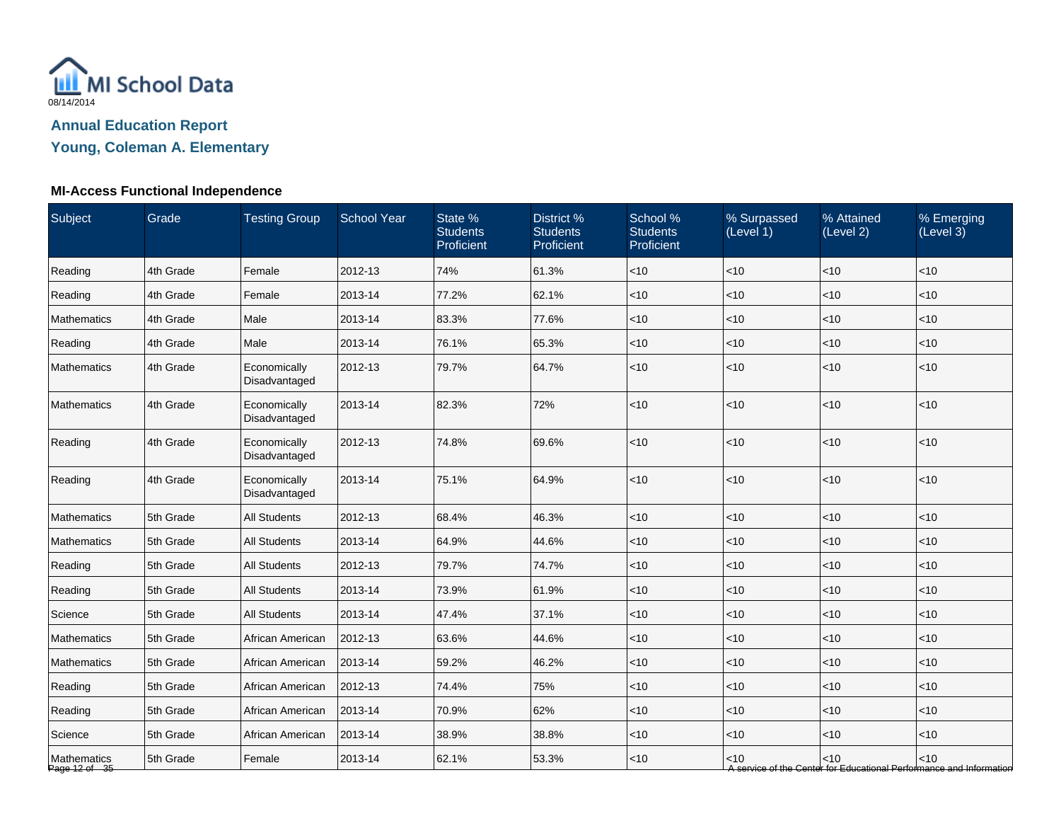

**Young, Coleman A. Elementary**

# **MI-Access Functional Independence**

| Subject                      | Grade     | <b>Testing Group</b>          | <b>School Year</b> | State %<br><b>Students</b><br>Proficient | District %<br><b>Students</b><br>Proficient | School %<br><b>Students</b><br>Proficient | % Surpassed<br>(Level 1) | % Attained<br>(Level 2) | % Emerging<br>(Level 3)                                                       |
|------------------------------|-----------|-------------------------------|--------------------|------------------------------------------|---------------------------------------------|-------------------------------------------|--------------------------|-------------------------|-------------------------------------------------------------------------------|
| Reading                      | 4th Grade | Female                        | 2012-13            | 74%                                      | 61.3%                                       | $<$ 10                                    | $<$ 10                   | <10                     | <10                                                                           |
| Reading                      | 4th Grade | Female                        | 2013-14            | 77.2%                                    | 62.1%                                       | $<$ 10                                    | <10                      | <10                     | < 10                                                                          |
| Mathematics                  | 4th Grade | Male                          | 2013-14            | 83.3%                                    | 77.6%                                       | $<$ 10                                    | <10                      | < 10                    | < 10                                                                          |
| Reading                      | 4th Grade | Male                          | 2013-14            | 76.1%                                    | 65.3%                                       | $<$ 10                                    | < 10                     | < 10                    | < 10                                                                          |
| Mathematics                  | 4th Grade | Economically<br>Disadvantaged | 2012-13            | 79.7%                                    | 64.7%                                       | $<$ 10                                    | <10                      | <10                     | < 10                                                                          |
| Mathematics                  | 4th Grade | Economically<br>Disadvantaged | 2013-14            | 82.3%                                    | 72%                                         | $<$ 10                                    | < 10                     | < 10                    | < 10                                                                          |
| Reading                      | 4th Grade | Economically<br>Disadvantaged | 2012-13            | 74.8%                                    | 69.6%                                       | $<$ 10                                    | <10                      | <10                     | < 10                                                                          |
| Reading                      | 4th Grade | Economically<br>Disadvantaged | 2013-14            | 75.1%                                    | 64.9%                                       | $<$ 10                                    | < 10                     | < 10                    | < 10                                                                          |
| <b>Mathematics</b>           | 5th Grade | <b>All Students</b>           | 2012-13            | 68.4%                                    | 46.3%                                       | $<$ 10                                    | <10                      | <10                     | < 10                                                                          |
| Mathematics                  | 5th Grade | <b>All Students</b>           | 2013-14            | 64.9%                                    | 44.6%                                       | $<$ 10                                    | $<$ 10                   | <10                     | < 10                                                                          |
| Reading                      | 5th Grade | <b>All Students</b>           | 2012-13            | 79.7%                                    | 74.7%                                       | $<$ 10                                    | $<$ 10                   | $<$ 10                  | $<$ 10                                                                        |
| Reading                      | 5th Grade | <b>All Students</b>           | 2013-14            | 73.9%                                    | 61.9%                                       | $<$ 10                                    | < 10                     | < 10                    | < 10                                                                          |
| Science                      | 5th Grade | <b>All Students</b>           | 2013-14            | 47.4%                                    | 37.1%                                       | $<$ 10                                    | $<$ 10                   | <10                     | < 10                                                                          |
| Mathematics                  | 5th Grade | African American              | 2012-13            | 63.6%                                    | 44.6%                                       | $<$ 10                                    | < 10                     | < 10                    | $<$ 10                                                                        |
| Mathematics                  | 5th Grade | African American              | 2013-14            | 59.2%                                    | 46.2%                                       | $<$ 10                                    | < 10                     | < 10                    | $<$ 10                                                                        |
| Reading                      | 5th Grade | African American              | 2012-13            | 74.4%                                    | 75%                                         | $<$ 10                                    | $<$ 10                   | $<$ 10                  | $<$ 10                                                                        |
| Reading                      | 5th Grade | African American              | 2013-14            | 70.9%                                    | 62%                                         | $<$ 10                                    | $<$ 10                   | < 10                    | $<$ 10                                                                        |
| Science                      | 5th Grade | African American              | 2013-14            | 38.9%                                    | 38.8%                                       | $<$ 10                                    | <10                      | < 10                    | $<$ 10                                                                        |
| Mathematics<br>Page 12 of 35 | 5th Grade | Female                        | 2013-14            | 62.1%                                    | 53.3%                                       | $<$ 10                                    | $<$ 10                   | < 10                    | $<$ 10<br>A service of the Center for Educational Performance and Information |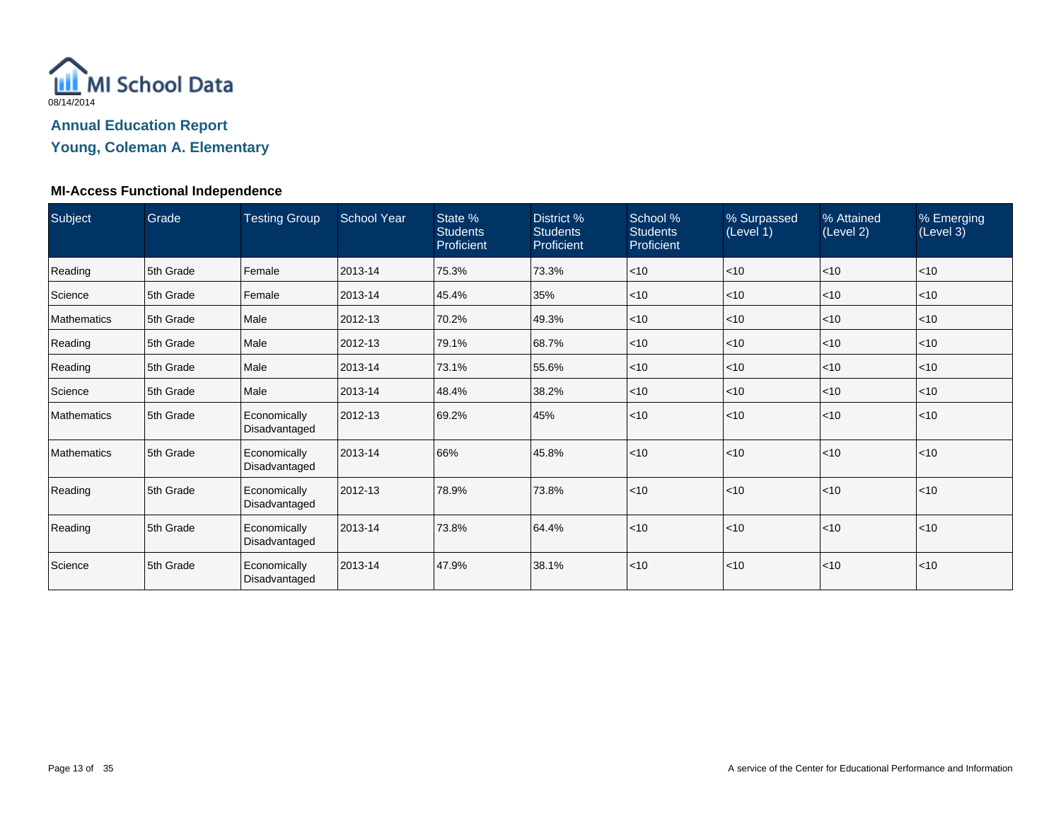

**Young, Coleman A. Elementary**

## **MI-Access Functional Independence**

| Subject            | Grade     | <b>Testing Group</b>          | <b>School Year</b> | State %<br><b>Students</b><br>Proficient | District %<br><b>Students</b><br>Proficient | School %<br><b>Students</b><br>Proficient | % Surpassed<br>(Level 1) | % Attained<br>(Level 2) | % Emerging<br>(Level 3) |
|--------------------|-----------|-------------------------------|--------------------|------------------------------------------|---------------------------------------------|-------------------------------------------|--------------------------|-------------------------|-------------------------|
| Reading            | 5th Grade | Female                        | 2013-14            | 75.3%                                    | 73.3%                                       | < 10                                      | < 10                     | < 10                    | < 10                    |
| Science            | 5th Grade | Female                        | 2013-14            | 45.4%                                    | 35%                                         | $ $ < 10                                  | $<$ 10                   | < 10                    | $<$ 10                  |
| <b>Mathematics</b> | 5th Grade | Male                          | 2012-13            | 70.2%                                    | 49.3%                                       | $ $ < 10                                  | $<$ 10                   | < 10                    | < 10                    |
| Reading            | 5th Grade | Male                          | 2012-13            | 79.1%                                    | 68.7%                                       | $ $ < 10                                  | $<$ 10                   | $ $ < 10                | < 10                    |
| Reading            | 5th Grade | Male                          | 2013-14            | 73.1%                                    | 55.6%                                       | $ $ < 10                                  | ~10                      | < 10                    | $<$ 10                  |
| Science            | 5th Grade | Male                          | 2013-14            | 48.4%                                    | 38.2%                                       | $\leq 10$                                 | $<$ 10                   | < 10                    | $<$ 10                  |
| <b>Mathematics</b> | 5th Grade | Economically<br>Disadvantaged | 2012-13            | 69.2%                                    | 45%                                         | $ $ < 10                                  | < 10                     | $ $ < 10                | < 10                    |
| <b>Mathematics</b> | 5th Grade | Economically<br>Disadvantaged | 2013-14            | 66%                                      | 45.8%                                       | $ $ < 10                                  | $<$ 10                   | $ $ < 10                | < 10                    |
| Reading            | 5th Grade | Economically<br>Disadvantaged | 2012-13            | 78.9%                                    | 73.8%                                       | $ $ < 10                                  | ~10                      | $ $ < 10                | < 10                    |
| Reading            | 5th Grade | Economically<br>Disadvantaged | 2013-14            | 73.8%                                    | 64.4%                                       | $ $ < 10                                  | < 10                     | $ $ < 10                | $\leq 10$               |
| Science            | 5th Grade | Economically<br>Disadvantaged | 2013-14            | 47.9%                                    | 38.1%                                       | $ $ < 10                                  | ~10                      | < 10                    | $<$ 10                  |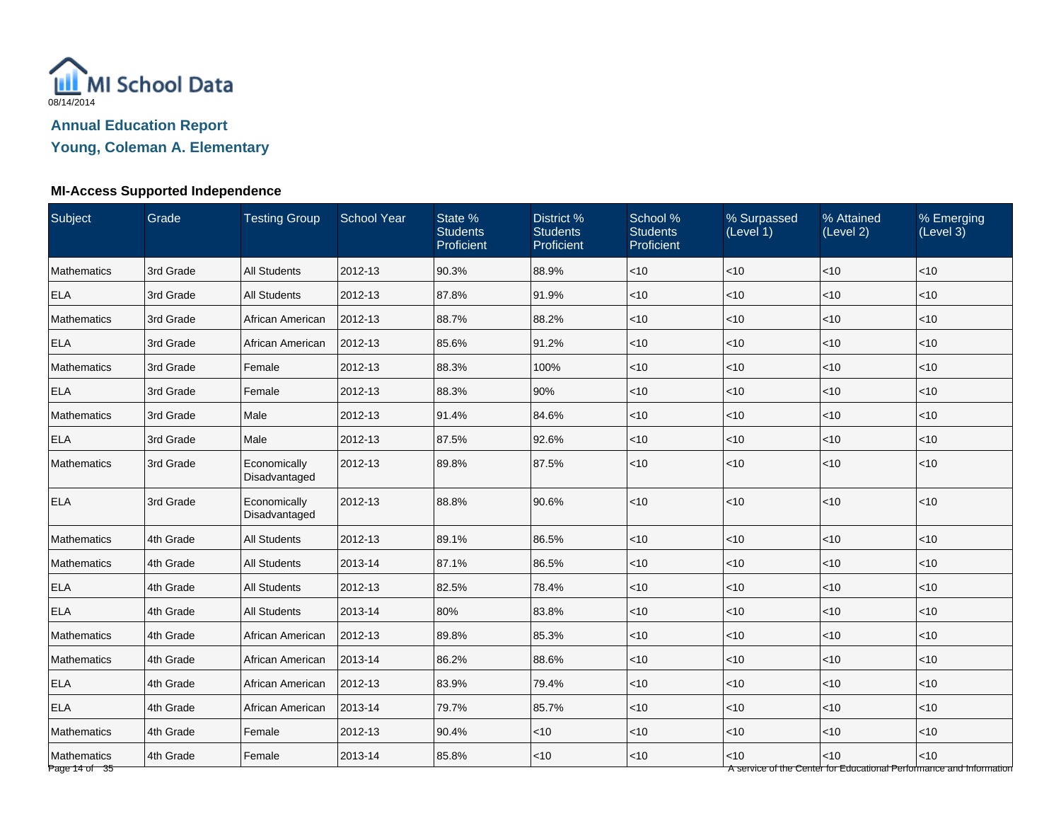

**Young, Coleman A. Elementary**

# **MI-Access Supported Independence**

| <b>Subject</b>               | Grade     | <b>Testing Group</b>          | <b>School Year</b> | State %<br><b>Students</b><br>Proficient | District %<br><b>Students</b><br>Proficient | School %<br><b>Students</b><br>Proficient | % Surpassed<br>(Level 1) | % Attained<br>(Level 2) | % Emerging<br>(Level 3)                                                     |
|------------------------------|-----------|-------------------------------|--------------------|------------------------------------------|---------------------------------------------|-------------------------------------------|--------------------------|-------------------------|-----------------------------------------------------------------------------|
| <b>Mathematics</b>           | 3rd Grade | <b>All Students</b>           | 2012-13            | 90.3%                                    | 88.9%                                       | $<$ 10                                    | $<$ 10                   | <10                     | $<$ 10                                                                      |
| <b>ELA</b>                   | 3rd Grade | <b>All Students</b>           | 2012-13            | 87.8%                                    | 91.9%                                       | $<$ 10                                    | <10                      | <10                     | < 10                                                                        |
| Mathematics                  | 3rd Grade | African American              | 2012-13            | 88.7%                                    | 88.2%                                       | $<$ 10                                    | <10                      | < 10                    | < 10                                                                        |
| <b>ELA</b>                   | 3rd Grade | African American              | 2012-13            | 85.6%                                    | 91.2%                                       | $<$ 10                                    | < 10                     | < 10                    | < 10                                                                        |
| Mathematics                  | 3rd Grade | Female                        | 2012-13            | 88.3%                                    | 100%                                        | $<$ 10                                    | $<$ 10                   | <10                     | $<$ 10                                                                      |
| <b>ELA</b>                   | 3rd Grade | Female                        | 2012-13            | 88.3%                                    | 90%                                         | $<$ 10                                    | $<$ 10                   | < 10                    | < 10                                                                        |
| Mathematics                  | 3rd Grade | Male                          | 2012-13            | 91.4%                                    | 84.6%                                       | $<$ 10                                    | < 10                     | < 10                    | $<$ 10                                                                      |
| <b>ELA</b>                   | 3rd Grade | Male                          | 2012-13            | 87.5%                                    | 92.6%                                       | $<$ 10                                    | <10                      | < 10                    | < 10                                                                        |
| Mathematics                  | 3rd Grade | Economically<br>Disadvantaged | 2012-13            | 89.8%                                    | 87.5%                                       | $<$ 10                                    | < 10                     | < 10                    | $<$ 10                                                                      |
| <b>ELA</b>                   | 3rd Grade | Economically<br>Disadvantaged | 2012-13            | 88.8%                                    | 90.6%                                       | $<$ 10                                    | <10                      | <10                     | $<10$                                                                       |
| Mathematics                  | 4th Grade | <b>All Students</b>           | 2012-13            | 89.1%                                    | 86.5%                                       | $<$ 10                                    | $<$ 10                   | < 10                    | < 10                                                                        |
| Mathematics                  | 4th Grade | <b>All Students</b>           | 2013-14            | 87.1%                                    | 86.5%                                       | $<$ 10                                    | $<$ 10                   | < 10                    | < 10                                                                        |
| <b>ELA</b>                   | 4th Grade | <b>All Students</b>           | 2012-13            | 82.5%                                    | 78.4%                                       | $<$ 10                                    | $<$ 10                   | $<$ 10                  | $<$ 10                                                                      |
| <b>ELA</b>                   | 4th Grade | <b>All Students</b>           | 2013-14            | 80%                                      | 83.8%                                       | $<$ 10                                    | $<$ 10                   | < 10                    | $<$ 10                                                                      |
| Mathematics                  | 4th Grade | African American              | 2012-13            | 89.8%                                    | 85.3%                                       | $<$ 10                                    | < 10                     | < 10                    | $<$ 10                                                                      |
| Mathematics                  | 4th Grade | African American              | 2013-14            | 86.2%                                    | 88.6%                                       | $<$ 10                                    | $<$ 10                   | < 10                    | < 10                                                                        |
| <b>ELA</b>                   | 4th Grade | African American              | 2012-13            | 83.9%                                    | 79.4%                                       | $<$ 10                                    | < 10                     | < 10                    | $<$ 10                                                                      |
| <b>ELA</b>                   | 4th Grade | African American              | 2013-14            | 79.7%                                    | 85.7%                                       | $<$ 10                                    | < 10                     | < 10                    | $<$ 10                                                                      |
| Mathematics                  | 4th Grade | Female                        | 2012-13            | 90.4%                                    | <10                                         | $<$ 10                                    | $<$ 10                   | < 10                    | $<$ 10                                                                      |
| Mathematics<br>Page 14 of 35 | 4th Grade | Female                        | 2013-14            | 85.8%                                    | <10                                         | $<$ 10                                    | <10                      | < 10                    | < 10<br>A service of the Center for Educational Performance and Information |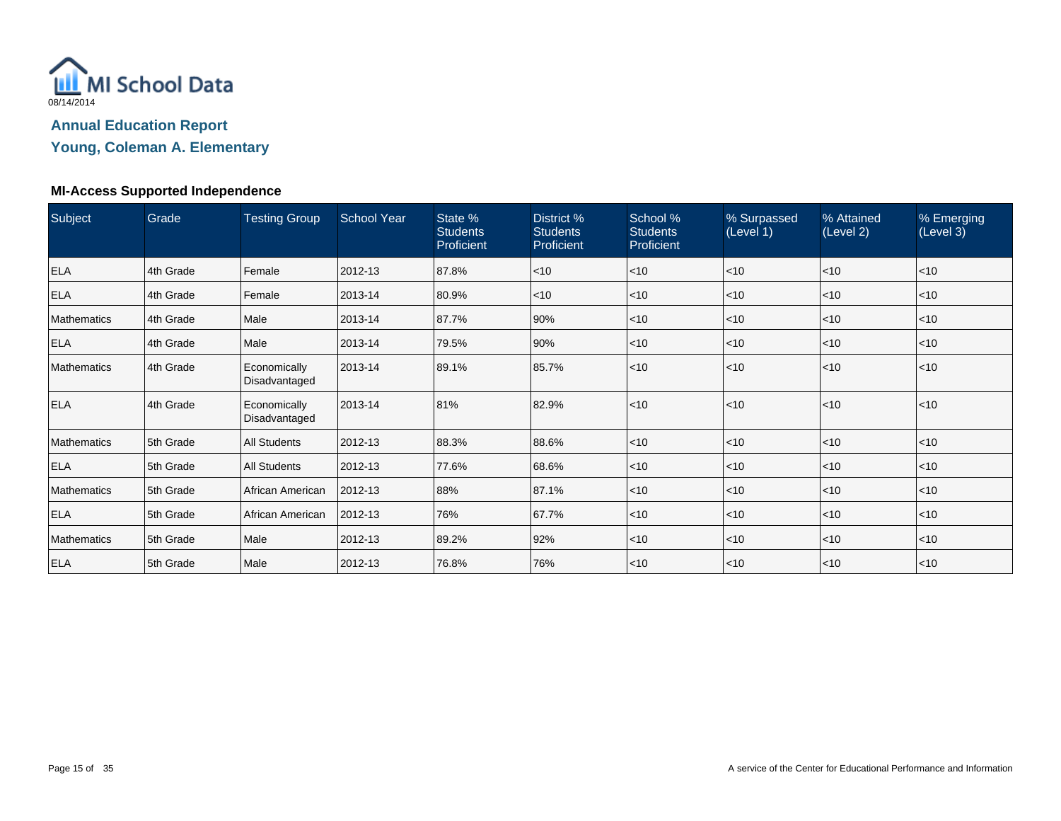

**Young, Coleman A. Elementary**

## **MI-Access Supported Independence**

| Subject            | Grade     | <b>Testing Group</b>          | <b>School Year</b> | State %<br><b>Students</b><br>Proficient | District %<br><b>Students</b><br>Proficient | School %<br><b>Students</b><br>Proficient | % Surpassed<br>(Level 1) | % Attained<br>(Level 2) | % Emerging<br>(Level 3) |
|--------------------|-----------|-------------------------------|--------------------|------------------------------------------|---------------------------------------------|-------------------------------------------|--------------------------|-------------------------|-------------------------|
| <b>ELA</b>         | 4th Grade | Female                        | 2012-13            | 87.8%                                    | $<$ 10                                      | $\leq 10$                                 | $<$ 10                   | < 10                    | $<$ 10                  |
| <b>ELA</b>         | 4th Grade | Female                        | 2013-14            | 80.9%                                    | $<$ 10                                      | $ $ < 10                                  | $<$ 10                   | $<$ 10                  | $<$ 10                  |
| <b>Mathematics</b> | 4th Grade | Male                          | 2013-14            | 87.7%                                    | 90%                                         | $ $ < 10                                  | $<$ 10                   | < 10                    | $<$ 10                  |
| <b>ELA</b>         | 4th Grade | Male                          | 2013-14            | 79.5%                                    | 90%                                         | $ $ < 10                                  | $<$ 10                   | < 10                    | $<$ 10                  |
| <b>Mathematics</b> | 4th Grade | Economically<br>Disadvantaged | 2013-14            | 89.1%                                    | 85.7%                                       | $\leq 10$                                 | $ $ < 10                 | < 10                    | < 10                    |
| <b>ELA</b>         | 4th Grade | Economically<br>Disadvantaged | 2013-14            | 81%                                      | 82.9%                                       | $\leq 10$                                 | < 10                     | < 10                    | < 10                    |
| <b>Mathematics</b> | 5th Grade | <b>All Students</b>           | 2012-13            | 88.3%                                    | 88.6%                                       | $ $ < 10                                  | $<$ 10                   | < 10                    | $<$ 10                  |
| <b>ELA</b>         | 5th Grade | <b>All Students</b>           | 2012-13            | 77.6%                                    | 68.6%                                       | $ $ < 10                                  | $<$ 10                   | < 10                    | $<$ 10                  |
| <b>Mathematics</b> | 5th Grade | African American              | 2012-13            | 88%                                      | 87.1%                                       | $ $ < 10                                  | $<$ 10                   | < 10                    | $<$ 10                  |
| <b>ELA</b>         | 5th Grade | African American              | 2012-13            | 76%                                      | 67.7%                                       | $ $ < 10                                  | $<$ 10                   | < 10                    | $<$ 10                  |
| <b>Mathematics</b> | 5th Grade | Male                          | 2012-13            | 89.2%                                    | 92%                                         | $ $ < 10                                  | $<$ 10                   | < 10                    | $<$ 10                  |
| <b>ELA</b>         | 5th Grade | Male                          | 2012-13            | 76.8%                                    | 76%                                         | $\leq 10$                                 | $<$ 10                   | < 10                    | $<$ 10                  |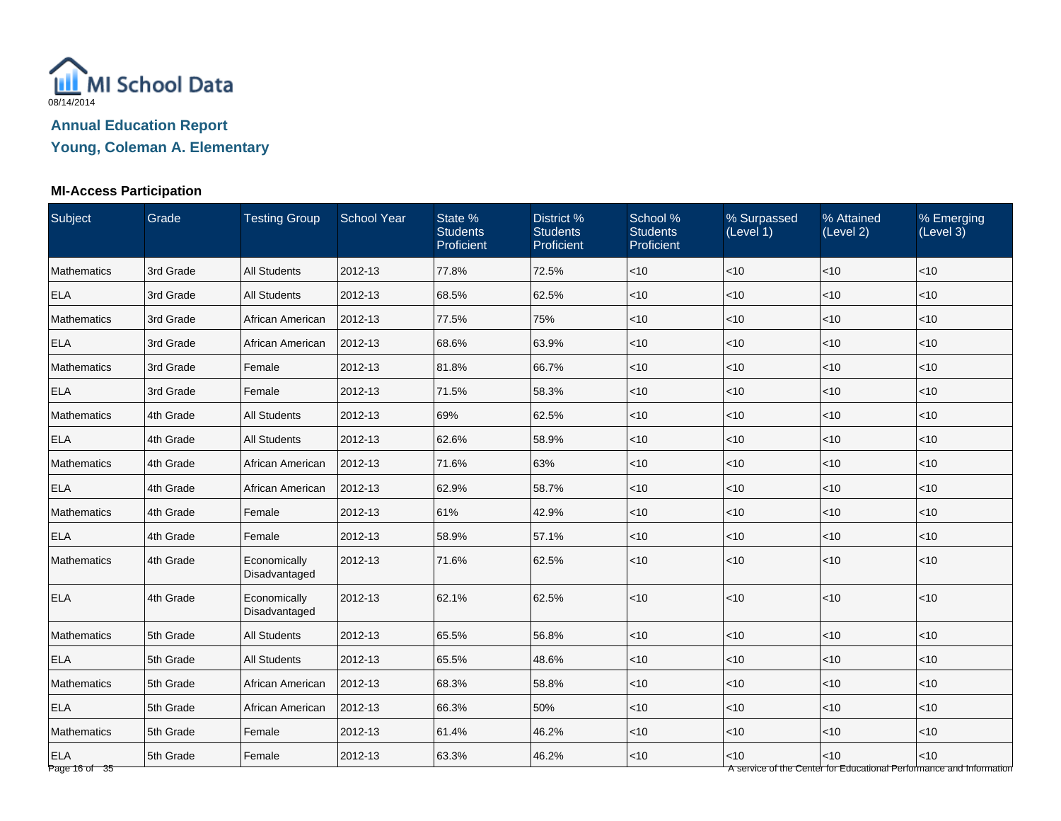

**Young, Coleman A. Elementary**

# **MI-Access Participation**

| Subject                     | Grade     | <b>Testing Group</b>          | <b>School Year</b> | State %<br><b>Students</b><br>Proficient | District %<br><b>Students</b><br>Proficient | School %<br><b>Students</b><br>Proficient | % Surpassed<br>(Level 1) | % Attained<br>(Level 2) | % Emerging<br>(Level 3)                                                     |
|-----------------------------|-----------|-------------------------------|--------------------|------------------------------------------|---------------------------------------------|-------------------------------------------|--------------------------|-------------------------|-----------------------------------------------------------------------------|
| <b>Mathematics</b>          | 3rd Grade | <b>All Students</b>           | 2012-13            | 77.8%                                    | 72.5%                                       | $<$ 10                                    | $<$ 10                   | < 10                    | $<$ 10                                                                      |
| <b>ELA</b>                  | 3rd Grade | <b>All Students</b>           | 2012-13            | 68.5%                                    | 62.5%                                       | < 10                                      | < 10                     | $\vert$ < 10            | < 10                                                                        |
| Mathematics                 | 3rd Grade | African American              | 2012-13            | 77.5%                                    | 75%                                         | < 10                                      | $<$ 10                   | $ $ < 10                | < 10                                                                        |
| <b>ELA</b>                  | 3rd Grade | African American              | 2012-13            | 68.6%                                    | 63.9%                                       | < 10                                      | $<$ 10                   | $\leq 10$               | < 10                                                                        |
| Mathematics                 | 3rd Grade | Female                        | 2012-13            | 81.8%                                    | 66.7%                                       | $<$ 10                                    | $<$ 10                   | $<$ 10                  | $<$ 10                                                                      |
| <b>ELA</b>                  | 3rd Grade | Female                        | 2012-13            | 71.5%                                    | 58.3%                                       | $<$ 10                                    | $<$ 10                   | $ $ < 10                | <10                                                                         |
| Mathematics                 | 4th Grade | <b>All Students</b>           | 2012-13            | 69%                                      | 62.5%                                       | < 10                                      | $<$ 10                   | $ $ < 10                | < 10                                                                        |
| <b>ELA</b>                  | 4th Grade | <b>All Students</b>           | 2012-13            | 62.6%                                    | 58.9%                                       | < 10                                      | $ $ < 10                 | $ $ < 10                | < 10                                                                        |
| Mathematics                 | 4th Grade | African American              | 2012-13            | 71.6%                                    | 63%                                         | < 10                                      | $<$ 10                   | $ $ < 10                | < 10                                                                        |
| <b>ELA</b>                  | 4th Grade | African American              | 2012-13            | 62.9%                                    | 58.7%                                       | $<$ 10                                    | $<$ 10                   | $<$ 10                  | $<$ 10                                                                      |
| Mathematics                 | 4th Grade | Female                        | 2012-13            | 61%                                      | 42.9%                                       | $<$ 10                                    | $<$ 10                   | $ $ < 10                | <10                                                                         |
| <b>ELA</b>                  | 4th Grade | Female                        | 2012-13            | 58.9%                                    | 57.1%                                       | < 10                                      | $<$ 10                   | $ $ < 10                | <10                                                                         |
| Mathematics                 | 4th Grade | Economically<br>Disadvantaged | 2012-13            | 71.6%                                    | 62.5%                                       | $<$ 10                                    | < 10                     | $ $ < 10                | $<$ 10                                                                      |
| <b>ELA</b>                  | 4th Grade | Economically<br>Disadvantaged | 2012-13            | 62.1%                                    | 62.5%                                       | < 10                                      | $<$ 10                   | $ $ < 10                | <10                                                                         |
| <b>Mathematics</b>          | 5th Grade | <b>All Students</b>           | 2012-13            | 65.5%                                    | 56.8%                                       | < 10                                      | $<$ 10                   | < 10                    | < 10                                                                        |
| <b>ELA</b>                  | 5th Grade | <b>All Students</b>           | 2012-13            | 65.5%                                    | 48.6%                                       | < 10                                      | $ $ < 10                 | $ $ < 10                | < 10                                                                        |
| Mathematics                 | 5th Grade | African American              | 2012-13            | 68.3%                                    | 58.8%                                       | $<$ 10                                    | $<$ 10                   | $\vert$ < 10            | < 10                                                                        |
| <b>ELA</b>                  | 5th Grade | African American              | 2012-13            | 66.3%                                    | 50%                                         | $<$ 10                                    | $<$ 10                   | $\vert$ < 10            | $<$ 10                                                                      |
| Mathematics                 | 5th Grade | Female                        | 2012-13            | 61.4%                                    | 46.2%                                       | < 10                                      | $<$ 10                   | $ $ < 10                | <10                                                                         |
| <b>ELA</b><br>Page 16 of 35 | 5th Grade | Female                        | 2012-13            | 63.3%                                    | 46.2%                                       | < 10                                      | < 10                     | $<10$                   | < 10<br>A service of the Center for Educational Performance and Information |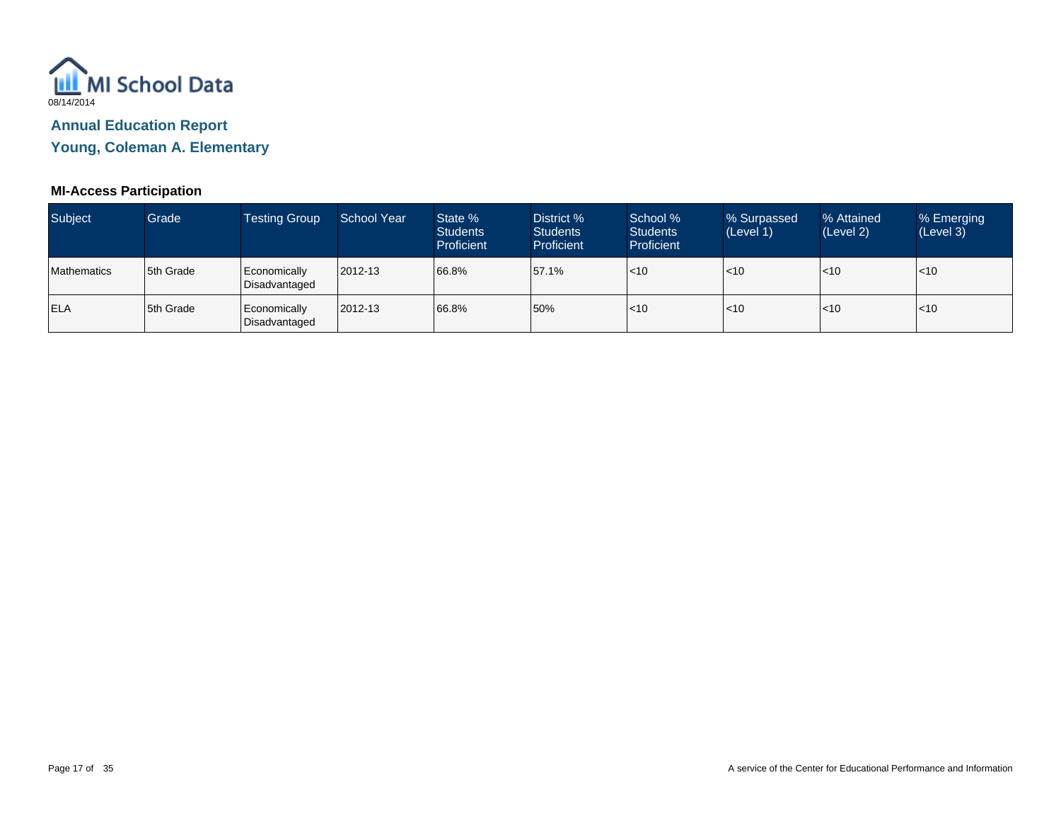

**Young, Coleman A. Elementary**

## **MI-Access Participation**

| Subject            | Grade            | Testing Group                 | School Year | State %<br><b>Students</b><br>Proficient | District %<br>Students<br>Proficient | School %<br><b>Students</b><br>Proficient | % Surpassed<br>(Level 1) | % Attained<br>(Level 2) | % Emerging<br>(Level 3) |
|--------------------|------------------|-------------------------------|-------------|------------------------------------------|--------------------------------------|-------------------------------------------|--------------------------|-------------------------|-------------------------|
| <b>Mathematics</b> | 5th Grade        | Economically<br>Disadvantaged | 2012-13     | 66.8%                                    | 57.1%                                | $ $ < 10                                  | < 10                     | $\mathsf{I}$ <10        | $ $ < 10                |
| <b>ELA</b>         | <b>5th Grade</b> | Economically<br>Disadvantaged | 2012-13     | 66.8%                                    | 50%                                  | $ $ < 10                                  | < 10                     | $\mathsf{I}$ <10        | $ $ < 10                |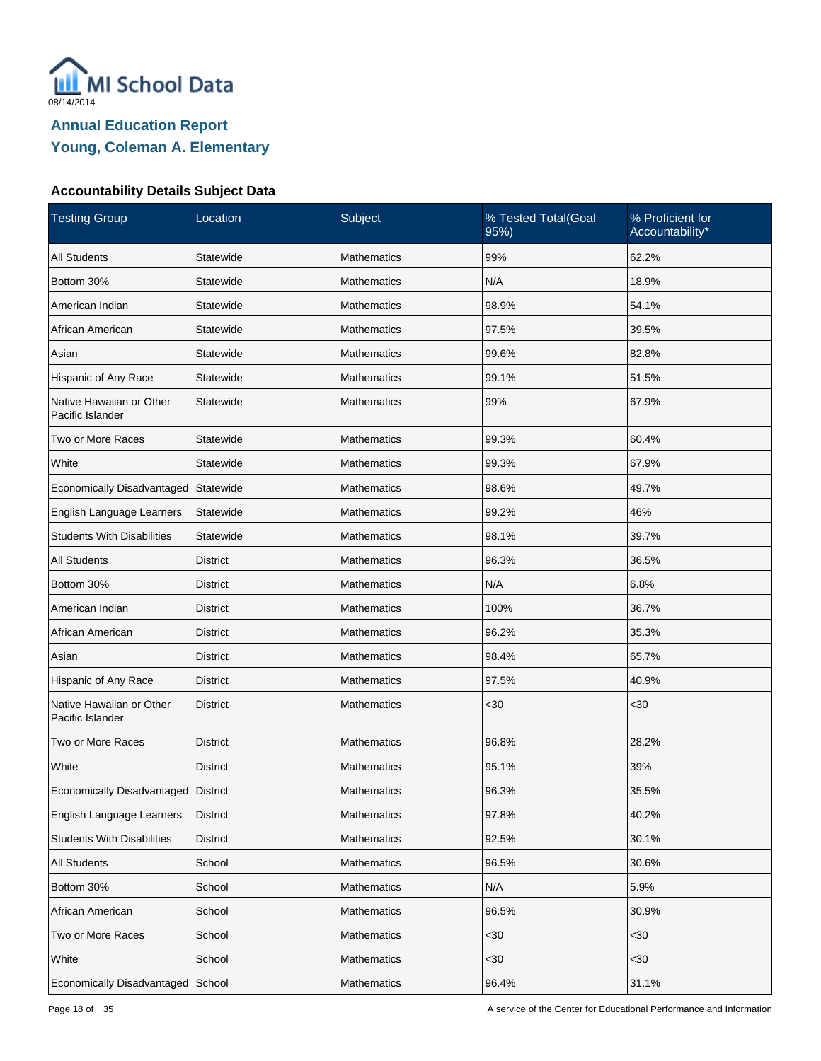

| <b>Testing Group</b>                         | Location        | Subject            | % Tested Total(Goal<br>95%) | % Proficient for<br>Accountability* |
|----------------------------------------------|-----------------|--------------------|-----------------------------|-------------------------------------|
| <b>All Students</b>                          | Statewide       | <b>Mathematics</b> | 99%                         | 62.2%                               |
| Bottom 30%                                   | Statewide       | <b>Mathematics</b> | N/A                         | 18.9%                               |
| American Indian                              | Statewide       | <b>Mathematics</b> | 98.9%                       | 54.1%                               |
| African American                             | Statewide       | <b>Mathematics</b> | 97.5%                       | 39.5%                               |
| Asian                                        | Statewide       | <b>Mathematics</b> | 99.6%                       | 82.8%                               |
| Hispanic of Any Race                         | Statewide       | <b>Mathematics</b> | 99.1%                       | 51.5%                               |
| Native Hawaiian or Other<br>Pacific Islander | Statewide       | <b>Mathematics</b> | 99%                         | 67.9%                               |
| Two or More Races                            | Statewide       | <b>Mathematics</b> | 99.3%                       | 60.4%                               |
| White                                        | Statewide       | <b>Mathematics</b> | 99.3%                       | 67.9%                               |
| Economically Disadvantaged                   | Statewide       | <b>Mathematics</b> | 98.6%                       | 49.7%                               |
| English Language Learners                    | Statewide       | <b>Mathematics</b> | 99.2%                       | 46%                                 |
| <b>Students With Disabilities</b>            | Statewide       | <b>Mathematics</b> | 98.1%                       | 39.7%                               |
| <b>All Students</b>                          | <b>District</b> | <b>Mathematics</b> | 96.3%                       | 36.5%                               |
| Bottom 30%                                   | District        | <b>Mathematics</b> | N/A                         | 6.8%                                |
| American Indian                              | <b>District</b> | <b>Mathematics</b> | 100%                        | 36.7%                               |
| African American                             | District        | <b>Mathematics</b> | 96.2%                       | 35.3%                               |
| Asian                                        | <b>District</b> | <b>Mathematics</b> | 98.4%                       | 65.7%                               |
| Hispanic of Any Race                         | District        | Mathematics        | 97.5%                       | 40.9%                               |
| Native Hawaiian or Other<br>Pacific Islander | <b>District</b> | <b>Mathematics</b> | $30$                        | $30$                                |
| Two or More Races                            | <b>District</b> | Mathematics        | 96.8%                       | 28.2%                               |
| White                                        | <b>District</b> | <b>Mathematics</b> | 95.1%                       | 39%                                 |
| Economically Disadvantaged   District        |                 | Mathematics        | 96.3%                       | 35.5%                               |
| English Language Learners                    | <b>District</b> | Mathematics        | 97.8%                       | 40.2%                               |
| <b>Students With Disabilities</b>            | <b>District</b> | Mathematics        | 92.5%                       | 30.1%                               |
| All Students                                 | School          | Mathematics        | 96.5%                       | 30.6%                               |
| Bottom 30%                                   | School          | Mathematics        | N/A                         | 5.9%                                |
| African American                             | School          | Mathematics        | 96.5%                       | 30.9%                               |
| Two or More Races                            | School          | Mathematics        | <30                         | <30                                 |
| White                                        | School          | Mathematics        | $30$                        | <30                                 |
| Economically Disadvantaged                   | School          | Mathematics        | 96.4%                       | 31.1%                               |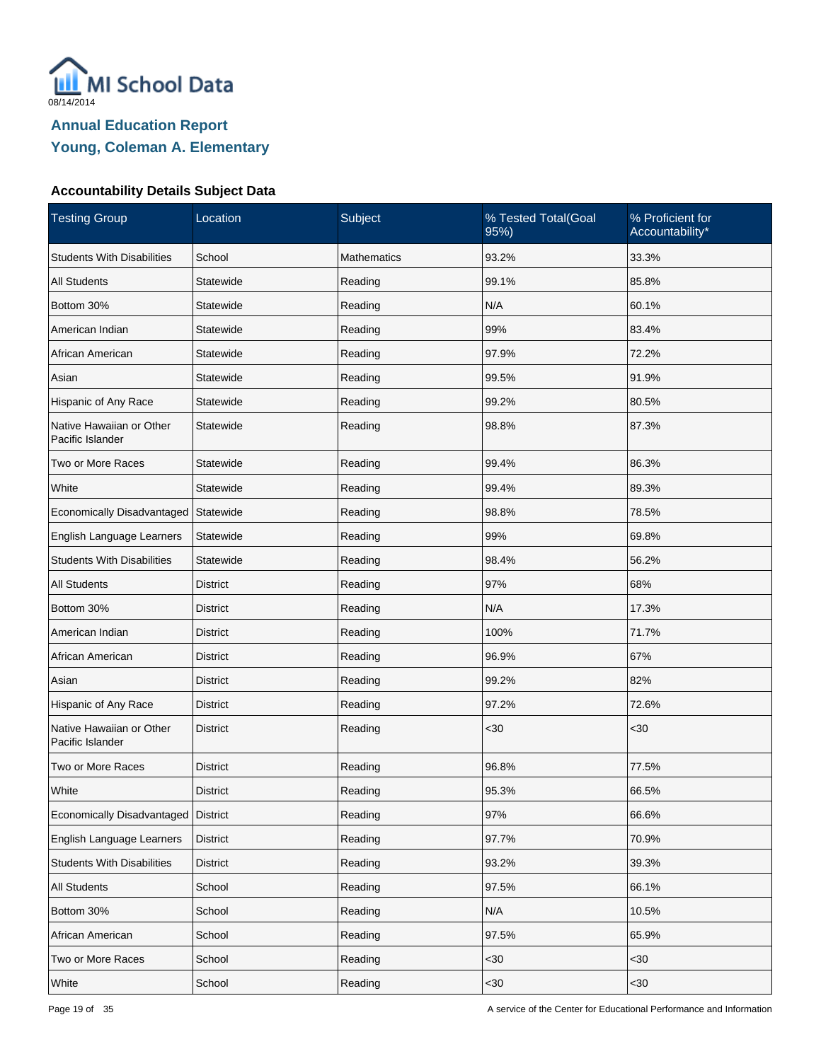

| <b>Testing Group</b>                         | Location        | Subject     | % Tested Total(Goal<br>95%) | % Proficient for<br>Accountability* |
|----------------------------------------------|-----------------|-------------|-----------------------------|-------------------------------------|
| <b>Students With Disabilities</b>            | School          | Mathematics | 93.2%                       | 33.3%                               |
| <b>All Students</b>                          | Statewide       | Reading     | 99.1%                       | 85.8%                               |
| Bottom 30%                                   | Statewide       | Reading     | N/A                         | 60.1%                               |
| American Indian                              | Statewide       | Reading     | 99%                         | 83.4%                               |
| African American                             | Statewide       | Reading     | 97.9%                       | 72.2%                               |
| Asian                                        | Statewide       | Reading     | 99.5%                       | 91.9%                               |
| Hispanic of Any Race                         | Statewide       | Reading     | 99.2%                       | 80.5%                               |
| Native Hawaiian or Other<br>Pacific Islander | Statewide       | Reading     | 98.8%                       | 87.3%                               |
| Two or More Races                            | Statewide       | Reading     | 99.4%                       | 86.3%                               |
| White                                        | Statewide       | Reading     | 99.4%                       | 89.3%                               |
| Economically Disadvantaged                   | Statewide       | Reading     | 98.8%                       | 78.5%                               |
| English Language Learners                    | Statewide       | Reading     | 99%                         | 69.8%                               |
| <b>Students With Disabilities</b>            | Statewide       | Reading     | 98.4%                       | 56.2%                               |
| <b>All Students</b>                          | <b>District</b> | Reading     | 97%                         | 68%                                 |
| Bottom 30%                                   | <b>District</b> | Reading     | N/A                         | 17.3%                               |
| American Indian                              | <b>District</b> | Reading     | 100%                        | 71.7%                               |
| African American                             | <b>District</b> | Reading     | 96.9%                       | 67%                                 |
| Asian                                        | <b>District</b> | Reading     | 99.2%                       | 82%                                 |
| Hispanic of Any Race                         | <b>District</b> | Reading     | 97.2%                       | 72.6%                               |
| Native Hawaiian or Other<br>Pacific Islander | <b>District</b> | Reading     | $30$                        | $30$                                |
| Two or More Races                            | <b>District</b> | Reading     | 96.8%                       | 77.5%                               |
| White                                        | <b>District</b> | Reading     | 95.3%                       | 66.5%                               |
| Economically Disadvantaged District          |                 | Reading     | 97%                         | 66.6%                               |
| English Language Learners                    | <b>District</b> | Reading     | 97.7%                       | 70.9%                               |
| <b>Students With Disabilities</b>            | <b>District</b> | Reading     | 93.2%                       | 39.3%                               |
| All Students                                 | School          | Reading     | 97.5%                       | 66.1%                               |
| Bottom 30%                                   | School          | Reading     | N/A                         | 10.5%                               |
| African American                             | School          | Reading     | 97.5%                       | 65.9%                               |
| Two or More Races                            | School          | Reading     | $30$                        | <30                                 |
| White                                        | School          | Reading     | <30                         | <30                                 |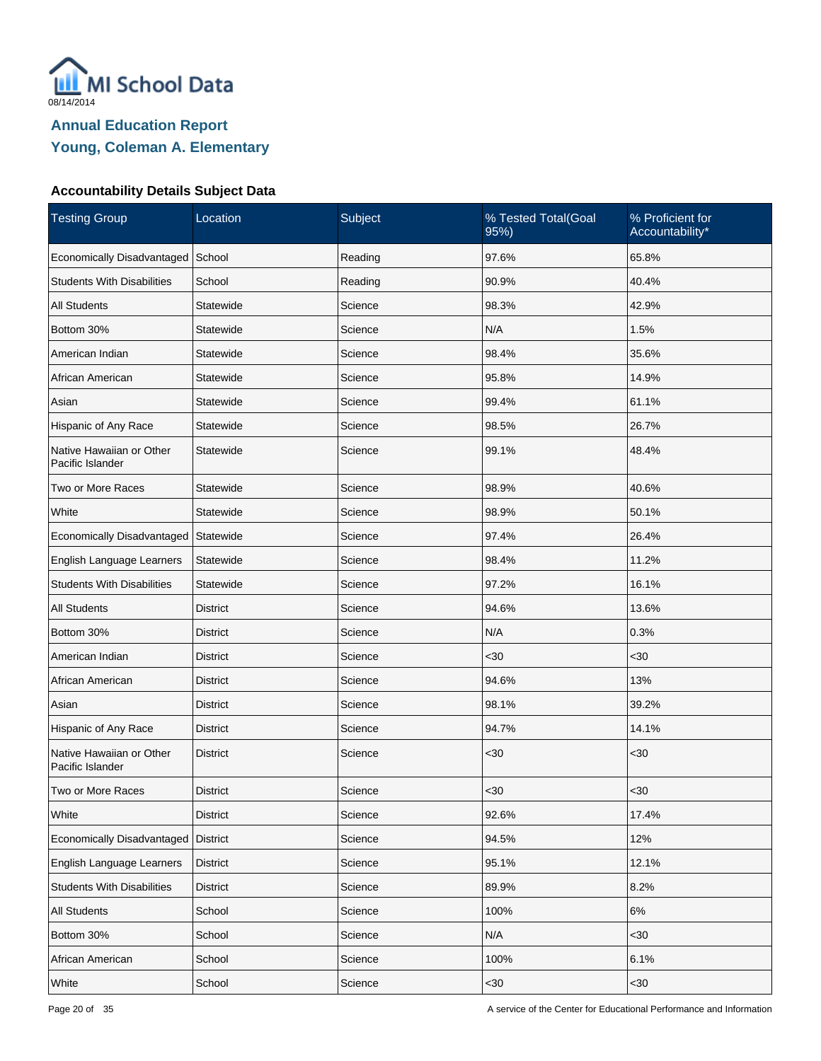

| <b>Testing Group</b>                         | Location        | Subject | % Tested Total(Goal<br>95%) | % Proficient for<br>Accountability* |
|----------------------------------------------|-----------------|---------|-----------------------------|-------------------------------------|
| Economically Disadvantaged                   | School          | Reading | 97.6%                       | 65.8%                               |
| <b>Students With Disabilities</b>            | School          | Reading | 90.9%                       | 40.4%                               |
| <b>All Students</b>                          | Statewide       | Science | 98.3%                       | 42.9%                               |
| Bottom 30%                                   | Statewide       | Science | N/A                         | 1.5%                                |
| American Indian                              | Statewide       | Science | 98.4%                       | 35.6%                               |
| African American                             | Statewide       | Science | 95.8%                       | 14.9%                               |
| Asian                                        | Statewide       | Science | 99.4%                       | 61.1%                               |
| Hispanic of Any Race                         | Statewide       | Science | 98.5%                       | 26.7%                               |
| Native Hawaiian or Other<br>Pacific Islander | Statewide       | Science | 99.1%                       | 48.4%                               |
| Two or More Races                            | Statewide       | Science | 98.9%                       | 40.6%                               |
| White                                        | Statewide       | Science | 98.9%                       | 50.1%                               |
| Economically Disadvantaged Statewide         |                 | Science | 97.4%                       | 26.4%                               |
| English Language Learners                    | Statewide       | Science | 98.4%                       | 11.2%                               |
| <b>Students With Disabilities</b>            | Statewide       | Science | 97.2%                       | 16.1%                               |
| <b>All Students</b>                          | <b>District</b> | Science | 94.6%                       | 13.6%                               |
| Bottom 30%                                   | <b>District</b> | Science | N/A                         | 0.3%                                |
| American Indian                              | <b>District</b> | Science | <30                         | <30                                 |
| African American                             | <b>District</b> | Science | 94.6%                       | 13%                                 |
| Asian                                        | <b>District</b> | Science | 98.1%                       | 39.2%                               |
| Hispanic of Any Race                         | <b>District</b> | Science | 94.7%                       | 14.1%                               |
| Native Hawaiian or Other<br>Pacific Islander | <b>District</b> | Science | $30$                        | $30$                                |
| Two or More Races                            | <b>District</b> | Science | $30$                        | $30$                                |
| White                                        | <b>District</b> | Science | 92.6%                       | 17.4%                               |
| Economically Disadvantaged                   | <b>District</b> | Science | 94.5%                       | 12%                                 |
| English Language Learners                    | District        | Science | 95.1%                       | 12.1%                               |
| <b>Students With Disabilities</b>            | <b>District</b> | Science | 89.9%                       | 8.2%                                |
| <b>All Students</b>                          | School          | Science | 100%                        | $6\%$                               |
| Bottom 30%                                   | School          | Science | N/A                         | <30                                 |
| African American                             | School          | Science | 100%                        | 6.1%                                |
| White                                        | School          | Science | <30                         | <30                                 |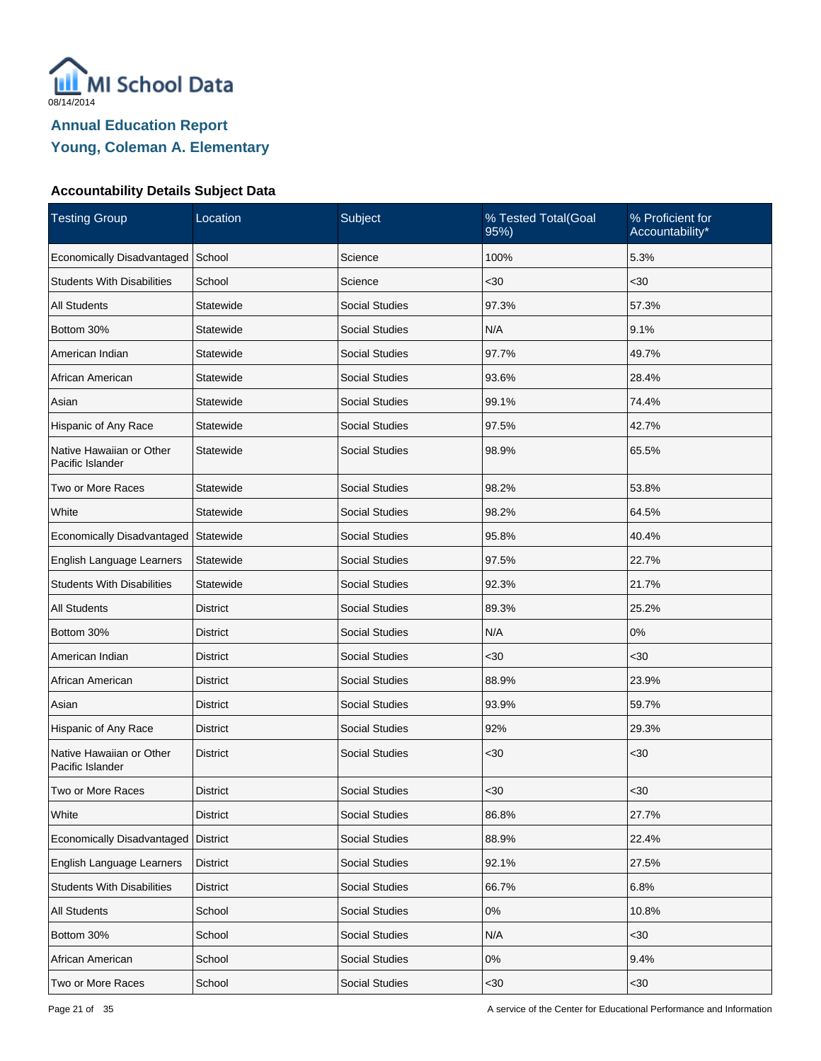

| <b>Testing Group</b>                         | Location        | Subject               | % Tested Total(Goal<br>95%) | % Proficient for<br>Accountability* |
|----------------------------------------------|-----------------|-----------------------|-----------------------------|-------------------------------------|
| Economically Disadvantaged                   | School          | Science               | 100%                        | 5.3%                                |
| <b>Students With Disabilities</b>            | School          | Science               | <30                         | $30$                                |
| <b>All Students</b>                          | Statewide       | <b>Social Studies</b> | 97.3%                       | 57.3%                               |
| Bottom 30%                                   | Statewide       | <b>Social Studies</b> | N/A                         | 9.1%                                |
| American Indian                              | Statewide       | <b>Social Studies</b> | 97.7%                       | 49.7%                               |
| African American                             | Statewide       | <b>Social Studies</b> | 93.6%                       | 28.4%                               |
| Asian                                        | Statewide       | <b>Social Studies</b> | 99.1%                       | 74.4%                               |
| Hispanic of Any Race                         | Statewide       | <b>Social Studies</b> | 97.5%                       | 42.7%                               |
| Native Hawaiian or Other<br>Pacific Islander | Statewide       | <b>Social Studies</b> | 98.9%                       | 65.5%                               |
| Two or More Races                            | Statewide       | <b>Social Studies</b> | 98.2%                       | 53.8%                               |
| White                                        | Statewide       | <b>Social Studies</b> | 98.2%                       | 64.5%                               |
| Economically Disadvantaged                   | Statewide       | <b>Social Studies</b> | 95.8%                       | 40.4%                               |
| English Language Learners                    | Statewide       | <b>Social Studies</b> | 97.5%                       | 22.7%                               |
| <b>Students With Disabilities</b>            | Statewide       | <b>Social Studies</b> | 92.3%                       | 21.7%                               |
| <b>All Students</b>                          | <b>District</b> | <b>Social Studies</b> | 89.3%                       | 25.2%                               |
| Bottom 30%                                   | District        | <b>Social Studies</b> | N/A                         | 0%                                  |
| American Indian                              | <b>District</b> | <b>Social Studies</b> | <30                         | <30                                 |
| African American                             | District        | <b>Social Studies</b> | 88.9%                       | 23.9%                               |
| Asian                                        | <b>District</b> | <b>Social Studies</b> | 93.9%                       | 59.7%                               |
| Hispanic of Any Race                         | District        | <b>Social Studies</b> | 92%                         | 29.3%                               |
| Native Hawaiian or Other<br>Pacific Islander | <b>District</b> | <b>Social Studies</b> | <30                         | $30$                                |
| Two or More Races                            | <b>District</b> | <b>Social Studies</b> | $30$                        | $30$                                |
| White                                        | <b>District</b> | Social Studies        | 86.8%                       | 27.7%                               |
| Economically Disadvantaged                   | <b>District</b> | Social Studies        | 88.9%                       | 22.4%                               |
| English Language Learners                    | <b>District</b> | Social Studies        | 92.1%                       | 27.5%                               |
| <b>Students With Disabilities</b>            | <b>District</b> | Social Studies        | 66.7%                       | 6.8%                                |
| <b>All Students</b>                          | School          | <b>Social Studies</b> | 0%                          | 10.8%                               |
| Bottom 30%                                   | School          | Social Studies        | N/A                         | <30                                 |
| African American                             | School          | Social Studies        | $0\%$                       | 9.4%                                |
| Two or More Races                            | School          | Social Studies        | $30$                        | <30                                 |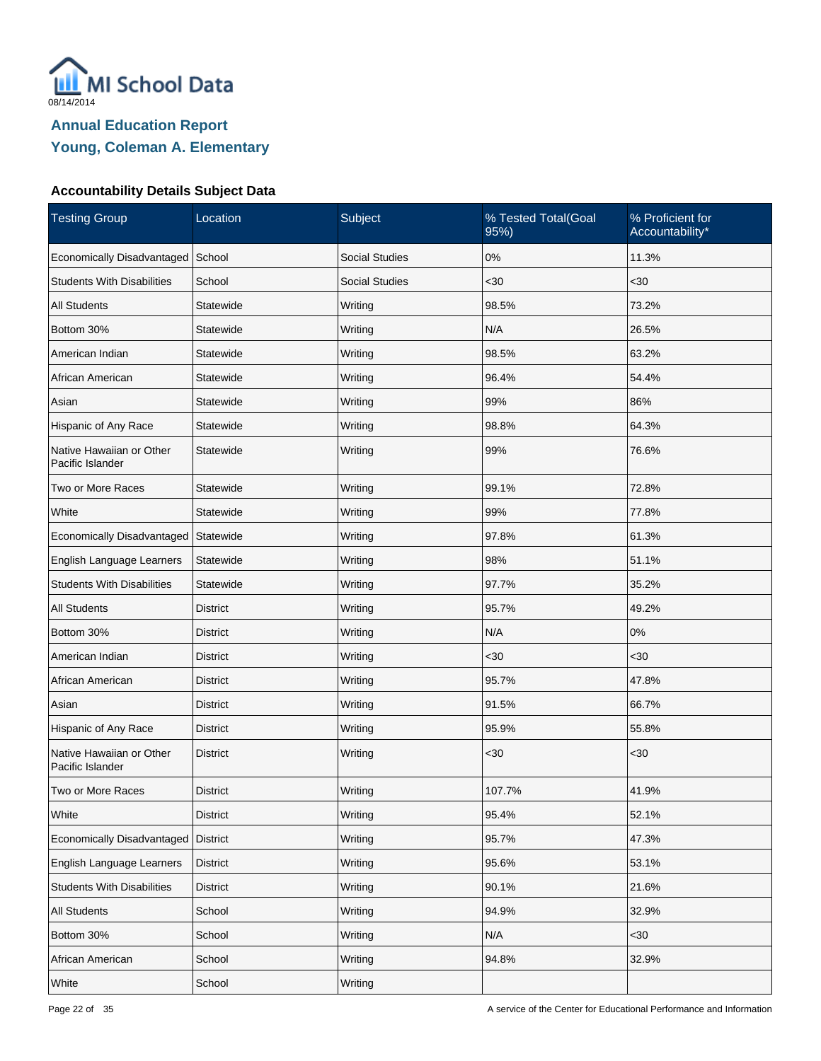

| <b>Testing Group</b>                         | Location        | Subject               | % Tested Total(Goal<br>95%) | % Proficient for<br>Accountability* |
|----------------------------------------------|-----------------|-----------------------|-----------------------------|-------------------------------------|
| Economically Disadvantaged                   | School          | <b>Social Studies</b> | $0\%$                       | 11.3%                               |
| <b>Students With Disabilities</b>            | School          | <b>Social Studies</b> | <30                         | $30$                                |
| <b>All Students</b>                          | Statewide       | Writing               | 98.5%                       | 73.2%                               |
| Bottom 30%                                   | Statewide       | Writing               | N/A                         | 26.5%                               |
| American Indian                              | Statewide       | Writing               | 98.5%                       | 63.2%                               |
| African American                             | Statewide       | Writing               | 96.4%                       | 54.4%                               |
| Asian                                        | Statewide       | Writing               | 99%                         | 86%                                 |
| Hispanic of Any Race                         | Statewide       | Writing               | 98.8%                       | 64.3%                               |
| Native Hawaiian or Other<br>Pacific Islander | Statewide       | Writing               | 99%                         | 76.6%                               |
| Two or More Races                            | Statewide       | Writing               | 99.1%                       | 72.8%                               |
| White                                        | Statewide       | Writing               | 99%                         | 77.8%                               |
| Economically Disadvantaged   Statewide       |                 | Writing               | 97.8%                       | 61.3%                               |
| English Language Learners                    | Statewide       | Writing               | 98%                         | 51.1%                               |
| <b>Students With Disabilities</b>            | Statewide       | Writing               | 97.7%                       | 35.2%                               |
| <b>All Students</b>                          | <b>District</b> | Writing               | 95.7%                       | 49.2%                               |
| Bottom 30%                                   | District        | Writing               | N/A                         | 0%                                  |
| American Indian                              | <b>District</b> | Writing               | $30$                        | $30$                                |
| African American                             | District        | Writing               | 95.7%                       | 47.8%                               |
| Asian                                        | <b>District</b> | Writing               | 91.5%                       | 66.7%                               |
| Hispanic of Any Race                         | <b>District</b> | Writing               | 95.9%                       | 55.8%                               |
| Native Hawaiian or Other<br>Pacific Islander | <b>District</b> | Writing               | $30$                        | $30$                                |
| Two or More Races                            | <b>District</b> | Writing               | 107.7%                      | 41.9%                               |
| White                                        | <b>District</b> | Writing               | 95.4%                       | 52.1%                               |
| Economically Disadvantaged                   | <b>District</b> | Writing               | 95.7%                       | 47.3%                               |
| English Language Learners                    | <b>District</b> | Writing               | 95.6%                       | 53.1%                               |
| <b>Students With Disabilities</b>            | <b>District</b> | Writing               | 90.1%                       | 21.6%                               |
| All Students                                 | School          | Writing               | 94.9%                       | 32.9%                               |
| Bottom 30%                                   | School          | Writing               | N/A                         | $30$                                |
| African American                             | School          | Writing               | 94.8%                       | 32.9%                               |
| White                                        | School          | Writing               |                             |                                     |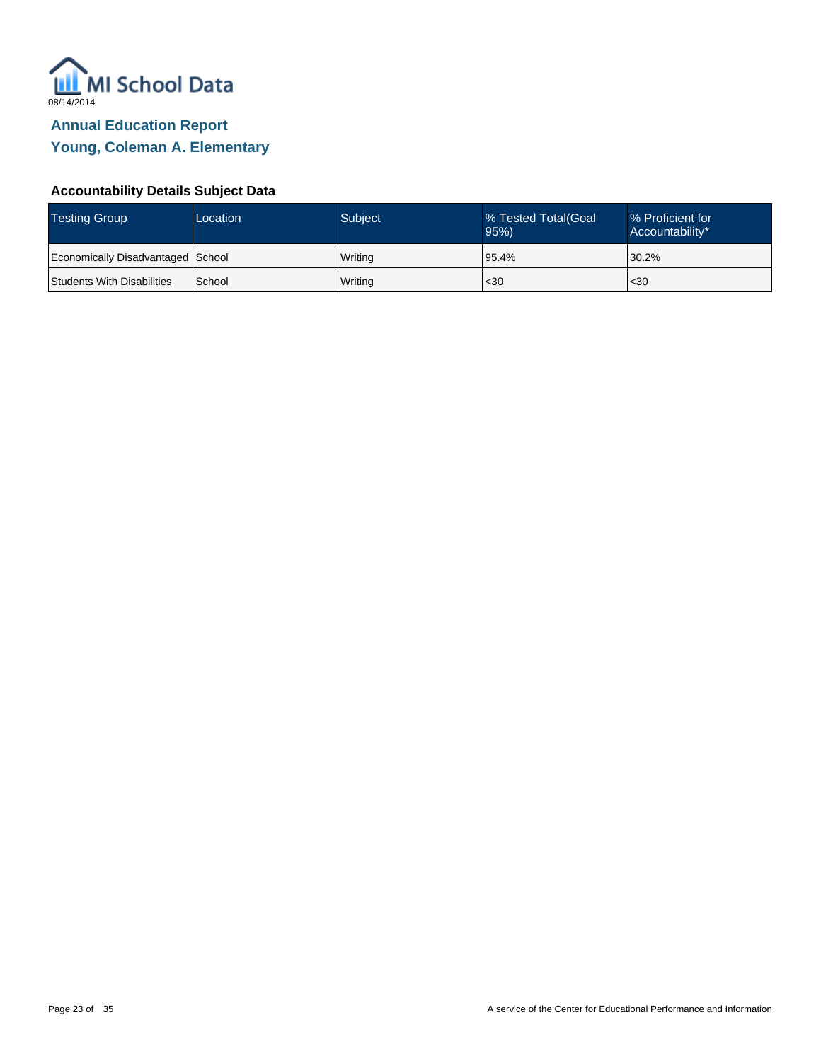

| <b>Testing Group</b>              | Location | Subject | % Tested Total Goal<br>95% | Ⅰ% Proficient for<br>Accountability* |
|-----------------------------------|----------|---------|----------------------------|--------------------------------------|
| Economically Disadvantaged School |          | Writing | 95.4%                      | 30.2%                                |
| Students With Disabilities        | School   | Writing | $30$                       | $30$                                 |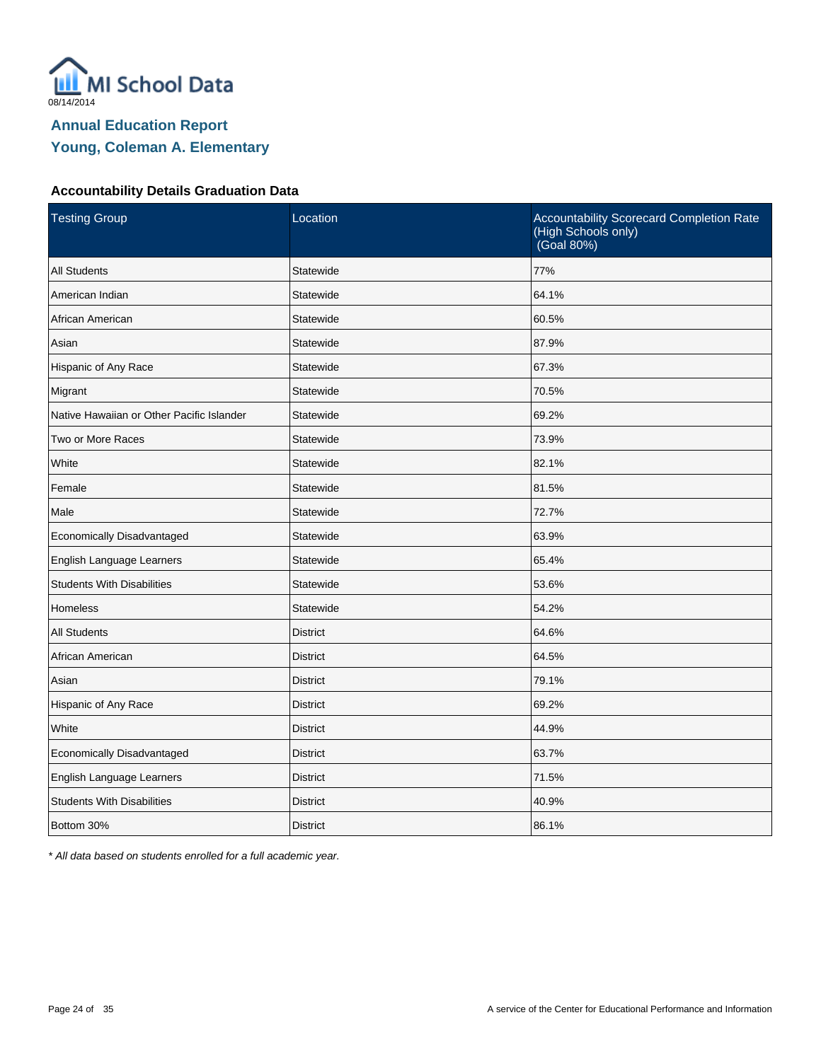

#### **Accountability Details Graduation Data**

| <b>Testing Group</b>                      | Location        | Accountability Scorecard Completion Rate<br>(High Schools only)<br>(Goal 80%) |
|-------------------------------------------|-----------------|-------------------------------------------------------------------------------|
| <b>All Students</b>                       | Statewide       | 77%                                                                           |
| American Indian                           | Statewide       | 64.1%                                                                         |
| African American                          | Statewide       | 60.5%                                                                         |
| Asian                                     | Statewide       | 87.9%                                                                         |
| Hispanic of Any Race                      | Statewide       | 67.3%                                                                         |
| Migrant                                   | Statewide       | 70.5%                                                                         |
| Native Hawaiian or Other Pacific Islander | Statewide       | 69.2%                                                                         |
| Two or More Races                         | Statewide       | 73.9%                                                                         |
| White                                     | Statewide       | 82.1%                                                                         |
| Female                                    | Statewide       | 81.5%                                                                         |
| Male                                      | Statewide       | 72.7%                                                                         |
| Economically Disadvantaged                | Statewide       | 63.9%                                                                         |
| English Language Learners                 | Statewide       | 65.4%                                                                         |
| <b>Students With Disabilities</b>         | Statewide       | 53.6%                                                                         |
| <b>Homeless</b>                           | Statewide       | 54.2%                                                                         |
| <b>All Students</b>                       | <b>District</b> | 64.6%                                                                         |
| African American                          | <b>District</b> | 64.5%                                                                         |
| Asian                                     | <b>District</b> | 79.1%                                                                         |
| Hispanic of Any Race                      | <b>District</b> | 69.2%                                                                         |
| White                                     | <b>District</b> | 44.9%                                                                         |
| Economically Disadvantaged                | <b>District</b> | 63.7%                                                                         |
| English Language Learners                 | <b>District</b> | 71.5%                                                                         |
| <b>Students With Disabilities</b>         | <b>District</b> | 40.9%                                                                         |
| Bottom 30%                                | <b>District</b> | 86.1%                                                                         |

\* All data based on students enrolled for a full academic year.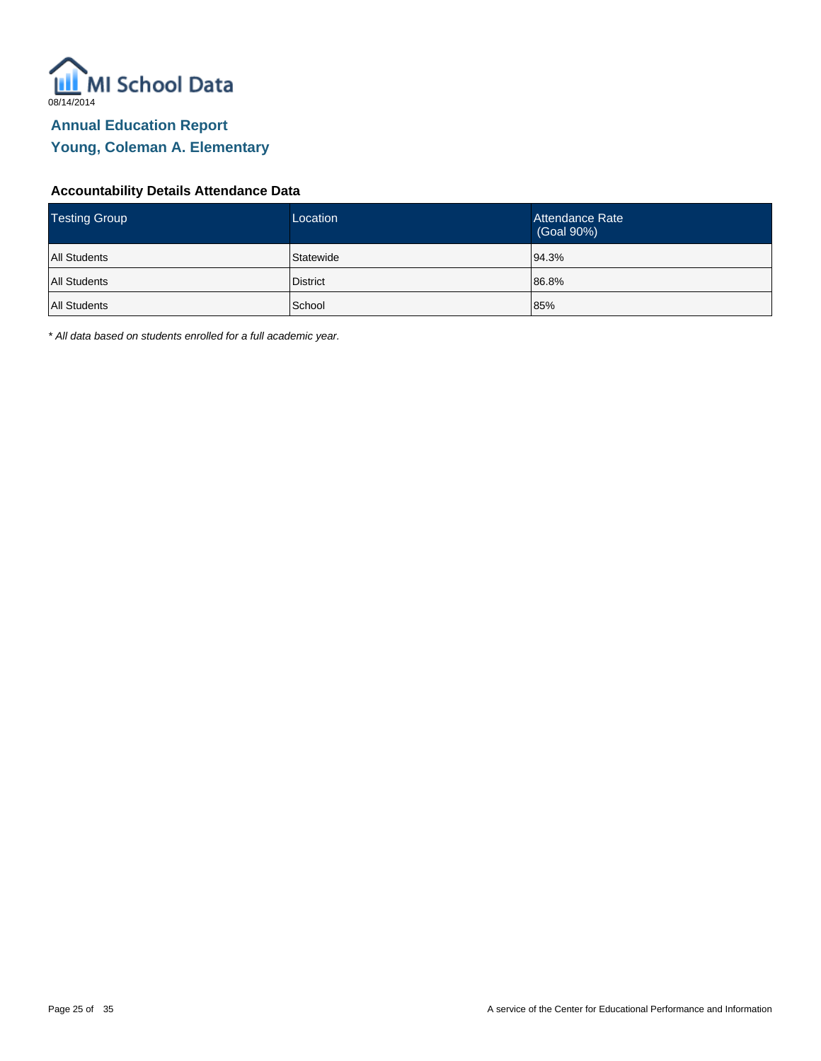

#### **Accountability Details Attendance Data**

| <b>Testing Group</b> | Location        | Attendance Rate<br>(Goal 90%) |
|----------------------|-----------------|-------------------------------|
| <b>All Students</b>  | Statewide       | 94.3%                         |
| <b>All Students</b>  | <b>District</b> | 86.8%                         |
| <b>All Students</b>  | <b>School</b>   | 85%                           |

\* All data based on students enrolled for a full academic year.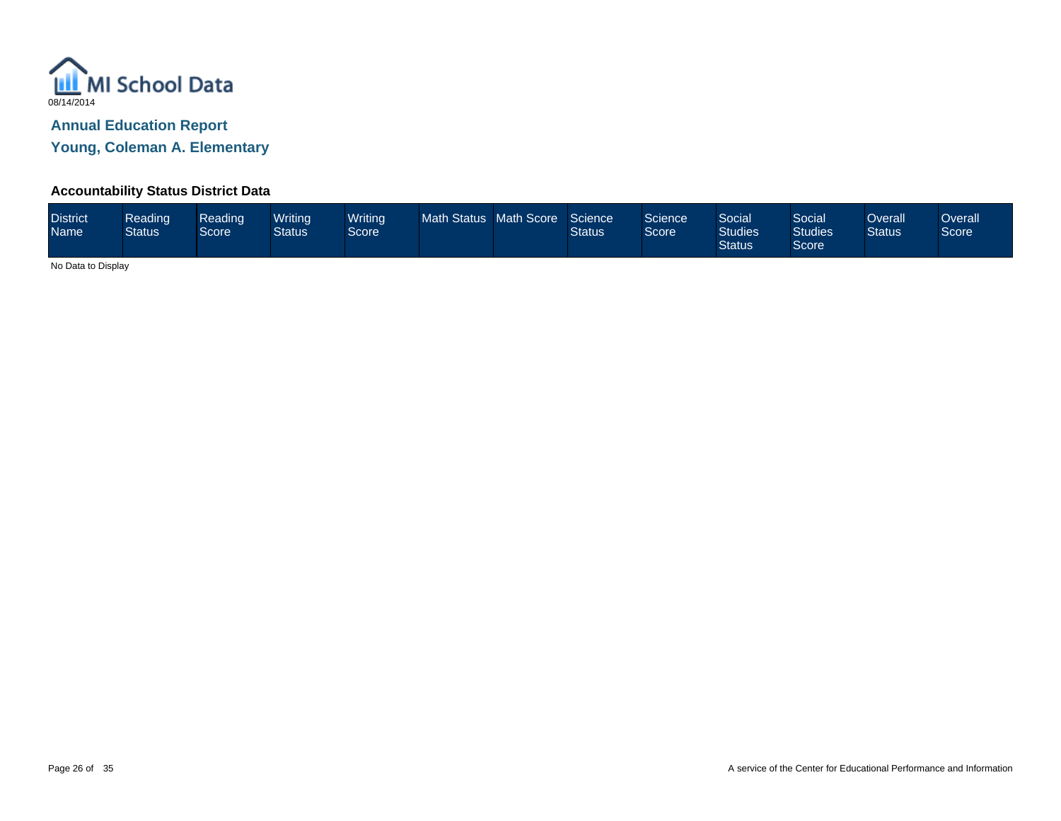

**Young, Coleman A. Elementary**

## **Accountability Status District Data**

| <b>District</b><br><b>Name</b> | Reading<br><b>Status</b> | Reading<br>Score <sup>1</sup> | Writina<br>Status | <b>Writing</b><br>Score <sup>1</sup> | <b>Math Status</b> | <b>Math Score</b> | Science<br>Status | Science <sup>'</sup><br>Score | Social<br><b>Studies</b><br><b>Status</b> | Social<br><b>Studies</b><br>Score | Overall<br><b>Status</b> | Overall<br>Score |
|--------------------------------|--------------------------|-------------------------------|-------------------|--------------------------------------|--------------------|-------------------|-------------------|-------------------------------|-------------------------------------------|-----------------------------------|--------------------------|------------------|
|--------------------------------|--------------------------|-------------------------------|-------------------|--------------------------------------|--------------------|-------------------|-------------------|-------------------------------|-------------------------------------------|-----------------------------------|--------------------------|------------------|

No Data to Display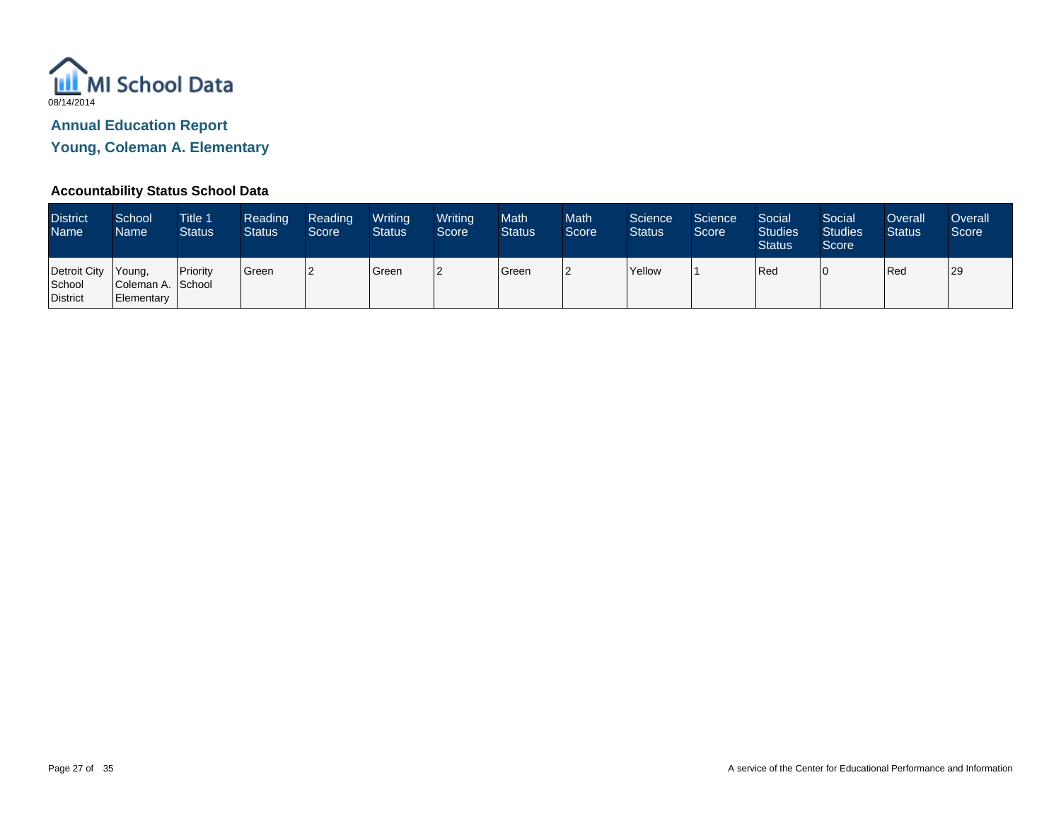

**Young, Coleman A. Elementary**

## **Accountability Status School Data**

| <b>District</b><br><b>Name</b>                   | School<br>Name                  | <b>Title 1</b><br><b>Status</b> | Reading<br><b>Status</b> | Reading<br>Score | Writing<br><b>Status</b> | Writing<br>Score | <b>Math</b><br><b>Status</b> | <b>Math</b><br>Score | Science<br><b>Status</b> | Science<br>Score | Social<br><b>Studies</b><br><b>Status</b> | Social<br><b>Studies</b><br>Score <sup>1</sup> | Overall<br><b>Status</b> | Overall<br>Score |
|--------------------------------------------------|---------------------------------|---------------------------------|--------------------------|------------------|--------------------------|------------------|------------------------------|----------------------|--------------------------|------------------|-------------------------------------------|------------------------------------------------|--------------------------|------------------|
| Detroit City Young,<br>School<br><b>District</b> | Coleman A. School<br>Elementary | <b>I</b> Priority               | <sup>'</sup> Green       |                  | Green                    |                  | Green                        | 2                    | <b>Yellow</b>            |                  | Red                                       |                                                | <b>Red</b>               | 29               |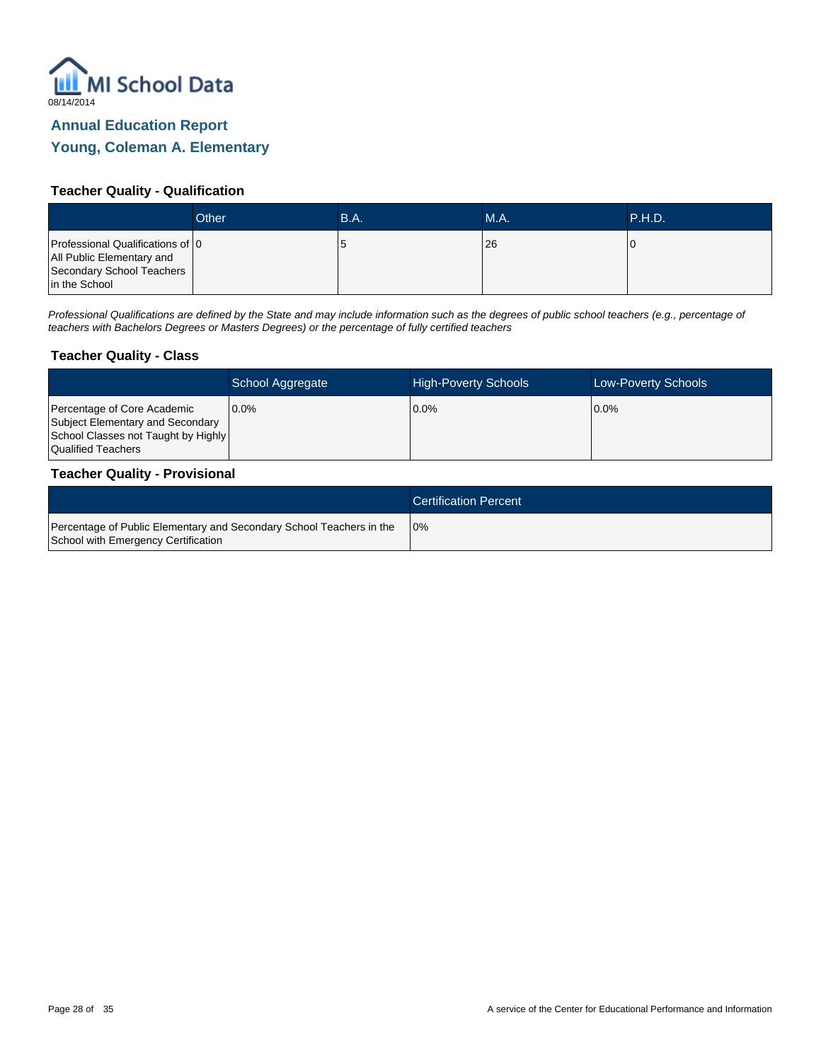

## **Young, Coleman A. Elementary**

#### **Teacher Quality - Qualification**

|                                                                                                             | Other | B.A. | <b>M.A.</b> | P.H.D. |
|-------------------------------------------------------------------------------------------------------------|-------|------|-------------|--------|
| Professional Qualifications of 0<br>All Public Elementary and<br>Secondary School Teachers<br>in the School |       |      | 26          |        |

Professional Qualifications are defined by the State and may include information such as the degrees of public school teachers (e.g., percentage of teachers with Bachelors Degrees or Masters Degrees) or the percentage of fully certified teachers

#### **Teacher Quality - Class**

|                                                                                                                              | School Aggregate | <b>High-Poverty Schools</b> | <b>Low-Poverty Schools</b> |
|------------------------------------------------------------------------------------------------------------------------------|------------------|-----------------------------|----------------------------|
| Percentage of Core Academic<br>Subject Elementary and Secondary<br>School Classes not Taught by Highly<br>Qualified Teachers | 10.0%            | 0.0%                        | $0.0\%$                    |

#### **Teacher Quality - Provisional**

|                                                                                                             | <b>Certification Percent</b> |
|-------------------------------------------------------------------------------------------------------------|------------------------------|
| Percentage of Public Elementary and Secondary School Teachers in the<br>School with Emergency Certification | 10%                          |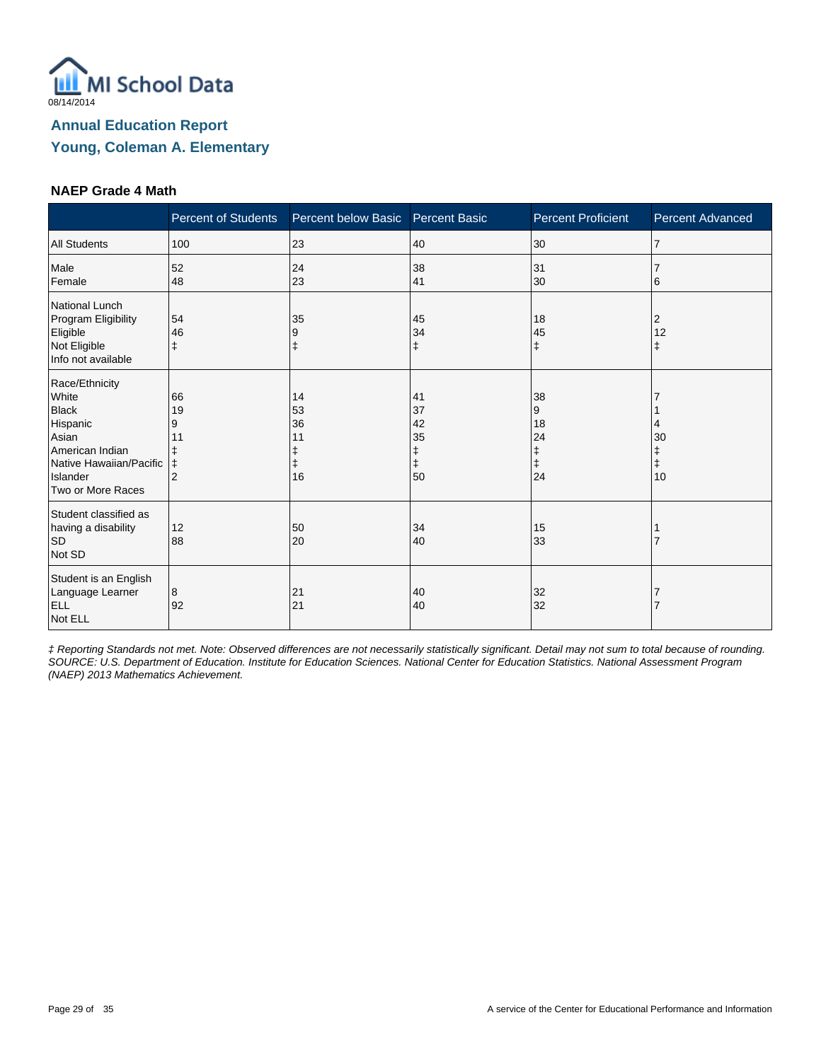

#### **NAEP Grade 4 Math**

|                                                                                                                                             | <b>Percent of Students</b> | Percent below Basic             | <b>Percent Basic</b>                 | <b>Percent Proficient</b>                    | Percent Advanced       |
|---------------------------------------------------------------------------------------------------------------------------------------------|----------------------------|---------------------------------|--------------------------------------|----------------------------------------------|------------------------|
| <b>All Students</b>                                                                                                                         | 100                        | 23                              | 40                                   | 30                                           | $\overline{7}$         |
| Male<br>Female                                                                                                                              | 52<br>48                   | 24<br>23                        | 38<br>41                             | 31<br>30                                     | 6                      |
| <b>National Lunch</b><br>Program Eligibility<br>Eligible<br>Not Eligible<br>Info not available                                              | 54<br>46<br>ŧ              | 35<br>9<br>$\ddagger$           | 45<br>34<br>$\ddagger$               | 18<br>45<br>$\ddagger$                       | 2<br>12<br>$\ddagger$  |
| Race/Ethnicity<br>White<br><b>Black</b><br>Hispanic<br>Asian<br>American Indian<br>Native Hawaiian/Pacific<br>Islander<br>Two or More Races | 66<br>19<br>9<br>11<br>⇟   | 14<br>53<br>36<br>11<br>ŧ<br>16 | 41<br>37<br>42<br>35<br>ŧ<br>ŧ<br>50 | 38<br>9<br>18<br>24<br>ŧ<br>$\ddagger$<br>24 | 30<br>$\ddagger$<br>10 |
| Student classified as<br>having a disability<br><b>SD</b><br>Not SD                                                                         | 12<br>88                   | 50<br>20                        | 34<br>40                             | 15<br>33                                     |                        |
| Student is an English<br>Language Learner<br><b>ELL</b><br>Not ELL                                                                          | 8<br>92                    | 21<br>21                        | 40<br>40                             | 32<br>32                                     |                        |

‡ Reporting Standards not met. Note: Observed differences are not necessarily statistically significant. Detail may not sum to total because of rounding. SOURCE: U.S. Department of Education. Institute for Education Sciences. National Center for Education Statistics. National Assessment Program (NAEP) 2013 Mathematics Achievement.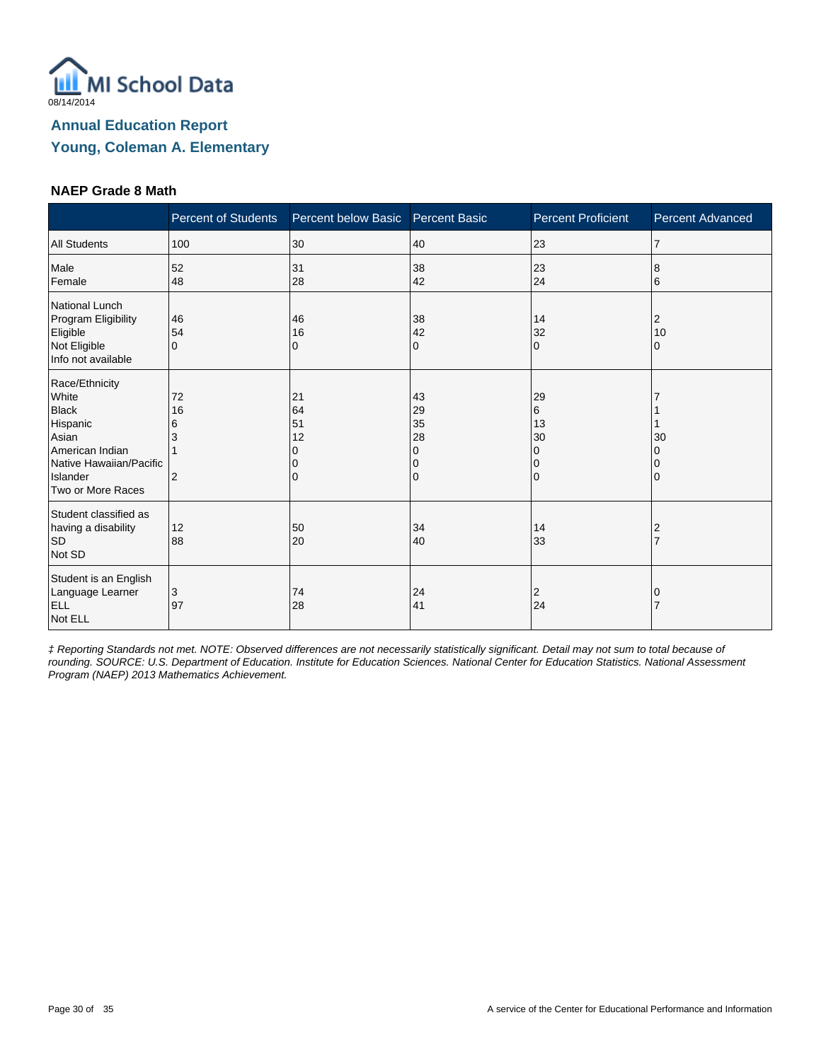

#### **NAEP Grade 8 Math**

|                                                                                                                                             | <b>Percent of Students</b>           | Percent below Basic Percent Basic |                                     | <b>Percent Proficient</b>       | <b>Percent Advanced</b> |
|---------------------------------------------------------------------------------------------------------------------------------------------|--------------------------------------|-----------------------------------|-------------------------------------|---------------------------------|-------------------------|
| <b>All Students</b>                                                                                                                         | 100                                  | 30                                | 40                                  | 23                              | 7                       |
| Male<br>Female                                                                                                                              | 52<br>48                             | 31<br>28                          | 38<br>42                            | 23<br>24                        | 8<br>6                  |
| National Lunch<br>Program Eligibility<br>Eligible<br>Not Eligible<br>Info not available                                                     | 46<br>54<br>$\Omega$                 | 46<br>16<br>0                     | 38<br>42<br>0                       | 14<br>32<br>$\Omega$            | 2<br>10<br>0            |
| Race/Ethnicity<br>White<br><b>Black</b><br>Hispanic<br>Asian<br>American Indian<br>Native Hawaiian/Pacific<br>Islander<br>Two or More Races | 72<br>16<br>6<br>3<br>$\overline{2}$ | 21<br>64<br>51<br>12<br>$\Omega$  | 43<br>29<br>35<br>28<br>0<br>0<br>0 | 29<br>6<br>13<br>30<br>$\Omega$ | 30                      |
| Student classified as<br>having a disability<br><b>SD</b><br>Not SD                                                                         | 12<br>88                             | 50<br>20                          | 34<br>40                            | 14<br>33                        |                         |
| Student is an English<br>Language Learner<br><b>ELL</b><br>Not ELL                                                                          | 3<br>97                              | 74<br>28                          | 24<br>41                            | 2<br>24                         |                         |

‡ Reporting Standards not met. NOTE: Observed differences are not necessarily statistically significant. Detail may not sum to total because of rounding. SOURCE: U.S. Department of Education. Institute for Education Sciences. National Center for Education Statistics. National Assessment Program (NAEP) 2013 Mathematics Achievement.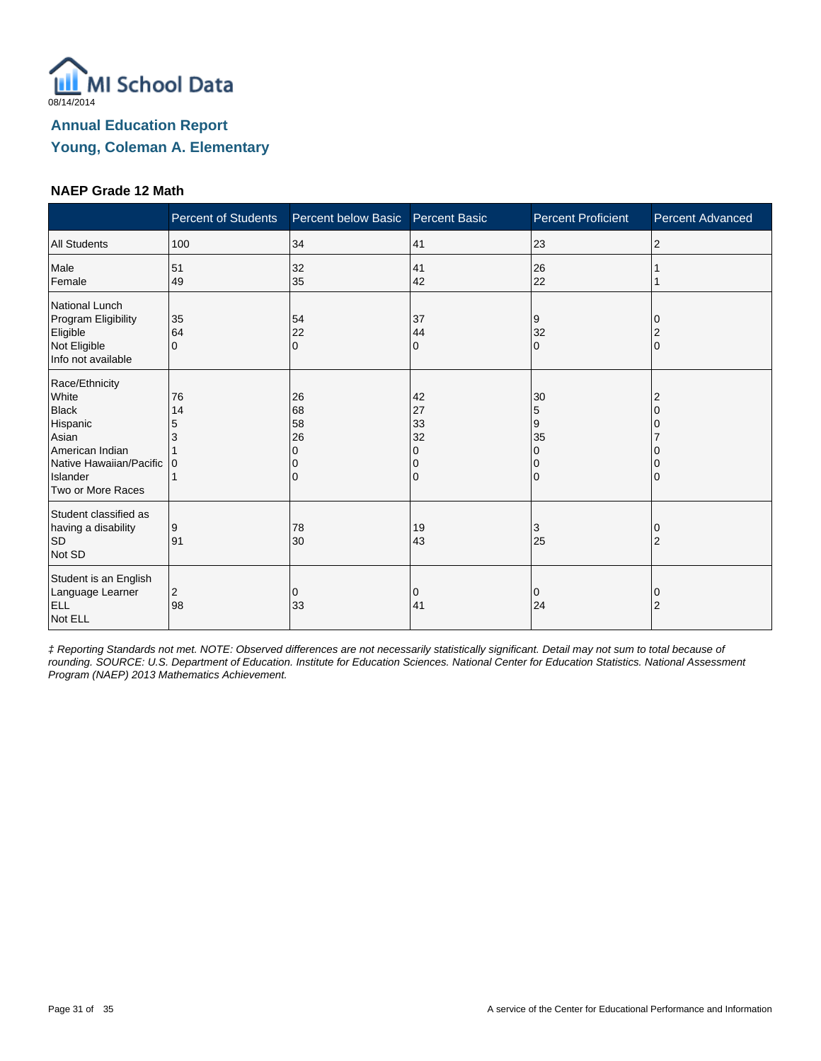

#### **NAEP Grade 12 Math**

|                                                                                                                                             | <b>Percent of Students</b> | Percent below Basic Percent Basic |                                | <b>Percent Proficient</b>    | <b>Percent Advanced</b> |
|---------------------------------------------------------------------------------------------------------------------------------------------|----------------------------|-----------------------------------|--------------------------------|------------------------------|-------------------------|
| <b>All Students</b>                                                                                                                         | 100                        | 34                                | 41                             | 23                           | 2                       |
| Male<br>Female                                                                                                                              | 51<br>49                   | 32<br>35                          | 41<br>42                       | 26<br>22                     |                         |
| <b>National Lunch</b><br>Program Eligibility<br>Eligible<br>Not Eligible<br>Info not available                                              | 35<br>64<br>$\Omega$       | 54<br>22<br>$\Omega$              | 37<br>44<br>$\mathbf 0$        | 9<br>32<br>10                | 2<br>$\Omega$           |
| Race/Ethnicity<br>White<br><b>Black</b><br>Hispanic<br>Asian<br>American Indian<br>Native Hawaiian/Pacific<br>Islander<br>Two or More Races | 76<br>14<br>5              | 26<br>68<br>58<br>26<br>O<br>0    | 42<br>27<br>33<br>32<br>O<br>0 | 30<br>5<br>9<br>35<br>0<br>0 | 2                       |
| Student classified as<br>having a disability<br><b>SD</b><br>Not SD                                                                         | 9<br>91                    | 78<br>30                          | 19<br>43                       | 3<br>25                      | 0<br>$\overline{2}$     |
| Student is an English<br>Language Learner<br><b>ELL</b><br>Not ELL                                                                          | 2<br>98                    | 0<br>33                           | 0<br>41                        | 0<br>24                      | 0<br>$\overline{2}$     |

‡ Reporting Standards not met. NOTE: Observed differences are not necessarily statistically significant. Detail may not sum to total because of rounding. SOURCE: U.S. Department of Education. Institute for Education Sciences. National Center for Education Statistics. National Assessment Program (NAEP) 2013 Mathematics Achievement.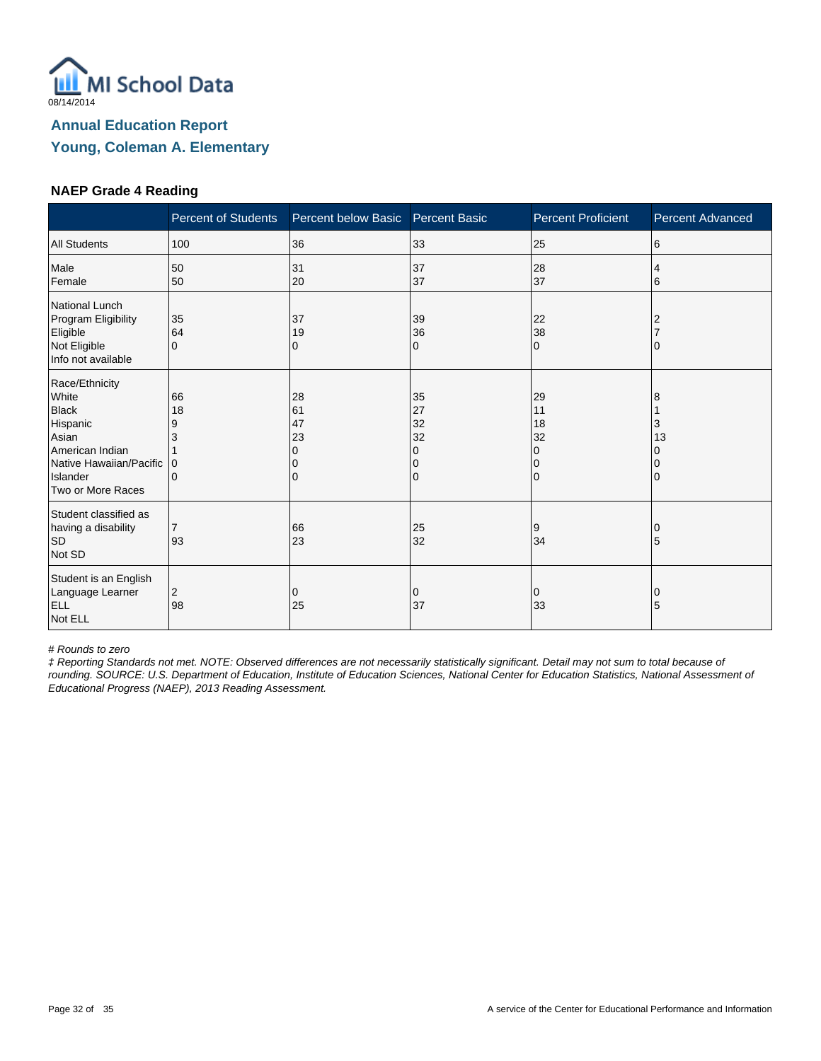

#### **NAEP Grade 4 Reading**

|                                                                                                                                             | <b>Percent of Students</b>                    | Percent below Basic            | <b>Percent Basic</b>                | <b>Percent Proficient</b>                            | <b>Percent Advanced</b> |
|---------------------------------------------------------------------------------------------------------------------------------------------|-----------------------------------------------|--------------------------------|-------------------------------------|------------------------------------------------------|-------------------------|
| <b>All Students</b>                                                                                                                         | 100                                           | 36                             | 33                                  | 25                                                   | 6                       |
| Male<br>Female                                                                                                                              | 50<br>50                                      | 31<br>20                       | 37<br>37                            | 28<br>37                                             | 4<br>6                  |
| National Lunch<br>Program Eligibility<br>Eligible<br>Not Eligible<br>Info not available                                                     | 35<br>64<br>$\Omega$                          | 37<br>19<br>0                  | 39<br>36<br>0                       | 22<br>38<br>$\Omega$                                 |                         |
| Race/Ethnicity<br>White<br><b>Black</b><br>Hispanic<br>Asian<br>American Indian<br>Native Hawaiian/Pacific<br>Islander<br>Two or More Races | 66<br>18<br>9<br>3<br>$\Omega$<br>$\mathbf 0$ | 28<br>61<br>47<br>23<br>O<br>0 | 35<br>27<br>32<br>32<br>0<br>0<br>0 | 29<br>11<br>18<br>32<br>0<br>$\Omega$<br>$\mathbf 0$ | 8<br>3<br>13            |
| Student classified as<br>having a disability<br><b>SD</b><br>Not SD                                                                         | $\overline{7}$<br>93                          | 66<br>23                       | 25<br>32                            | 9<br>34                                              | 5                       |
| Student is an English<br>Language Learner<br><b>ELL</b><br>Not ELL                                                                          | 2<br>98                                       | 0<br>25                        | 0<br>37                             | 0<br>33                                              | 0<br>5                  |

# Rounds to zero

‡ Reporting Standards not met. NOTE: Observed differences are not necessarily statistically significant. Detail may not sum to total because of rounding. SOURCE: U.S. Department of Education, Institute of Education Sciences, National Center for Education Statistics, National Assessment of Educational Progress (NAEP), 2013 Reading Assessment.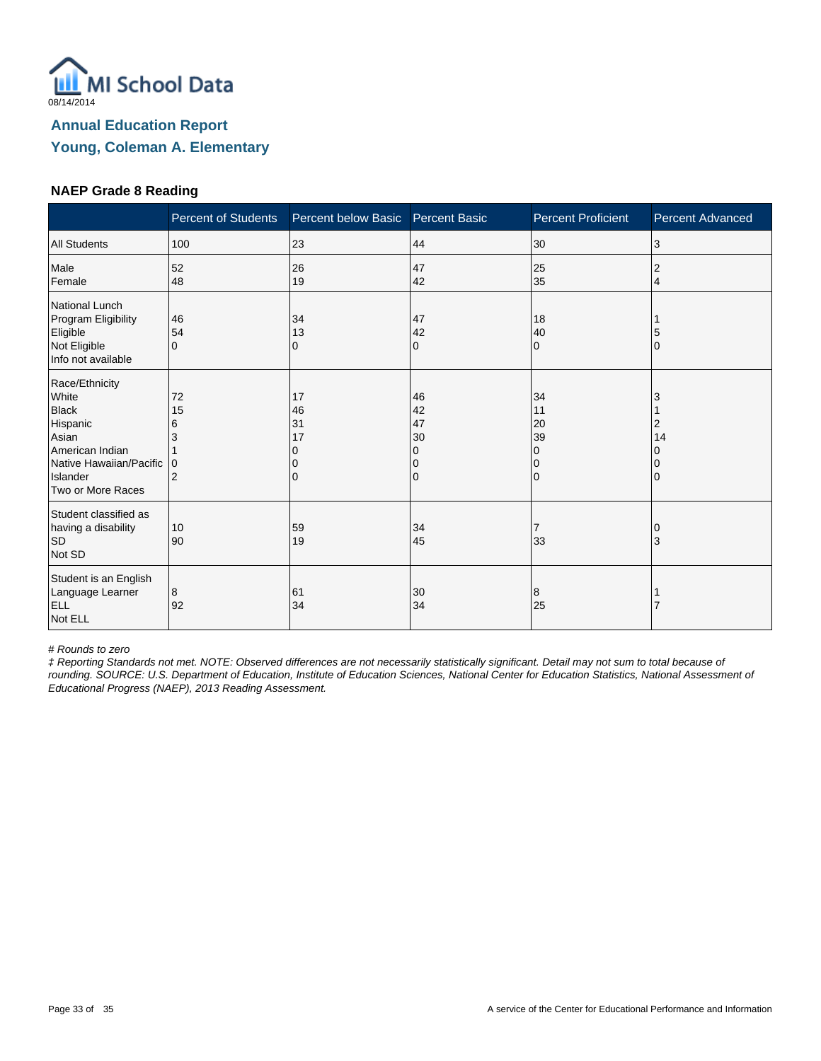

#### **NAEP Grade 8 Reading**

|                                                                                                                                             | <b>Percent of Students</b>          | Percent below Basic       | <b>Percent Basic</b>                | <b>Percent Proficient</b>                                   | <b>Percent Advanced</b> |
|---------------------------------------------------------------------------------------------------------------------------------------------|-------------------------------------|---------------------------|-------------------------------------|-------------------------------------------------------------|-------------------------|
| <b>All Students</b>                                                                                                                         | 100                                 | 23                        | 44                                  | 30                                                          | 3                       |
| Male<br>Female                                                                                                                              | 52<br>48                            | 26<br>19                  | 47<br>42                            | 25<br>35                                                    | 2<br>4                  |
| National Lunch<br>Program Eligibility<br>Eligible<br>Not Eligible<br>Info not available                                                     | 46<br>54<br>$\Omega$                | 34<br>13<br>0             | 47<br>42<br>0                       | 18<br>40<br>$\Omega$                                        | O                       |
| Race/Ethnicity<br>White<br><b>Black</b><br>Hispanic<br>Asian<br>American Indian<br>Native Hawaiian/Pacific<br>Islander<br>Two or More Races | 72<br>15<br>6<br>3<br>$\Omega$<br>2 | 17<br>46<br>31<br>17<br>0 | 46<br>42<br>47<br>30<br>0<br>0<br>0 | 34<br>11<br>20<br>39<br>$\Omega$<br>$\Omega$<br>$\mathbf 0$ | 2<br>14                 |
| Student classified as<br>having a disability<br><b>SD</b><br>Not SD                                                                         | 10<br>90                            | 59<br>19                  | 34<br>45                            | 7<br>33                                                     | 3                       |
| Student is an English<br>Language Learner<br><b>ELL</b><br>Not ELL                                                                          | 8<br>92                             | 61<br>34                  | 30<br>34                            | 8<br>25                                                     |                         |

# Rounds to zero

‡ Reporting Standards not met. NOTE: Observed differences are not necessarily statistically significant. Detail may not sum to total because of rounding. SOURCE: U.S. Department of Education, Institute of Education Sciences, National Center for Education Statistics, National Assessment of Educational Progress (NAEP), 2013 Reading Assessment.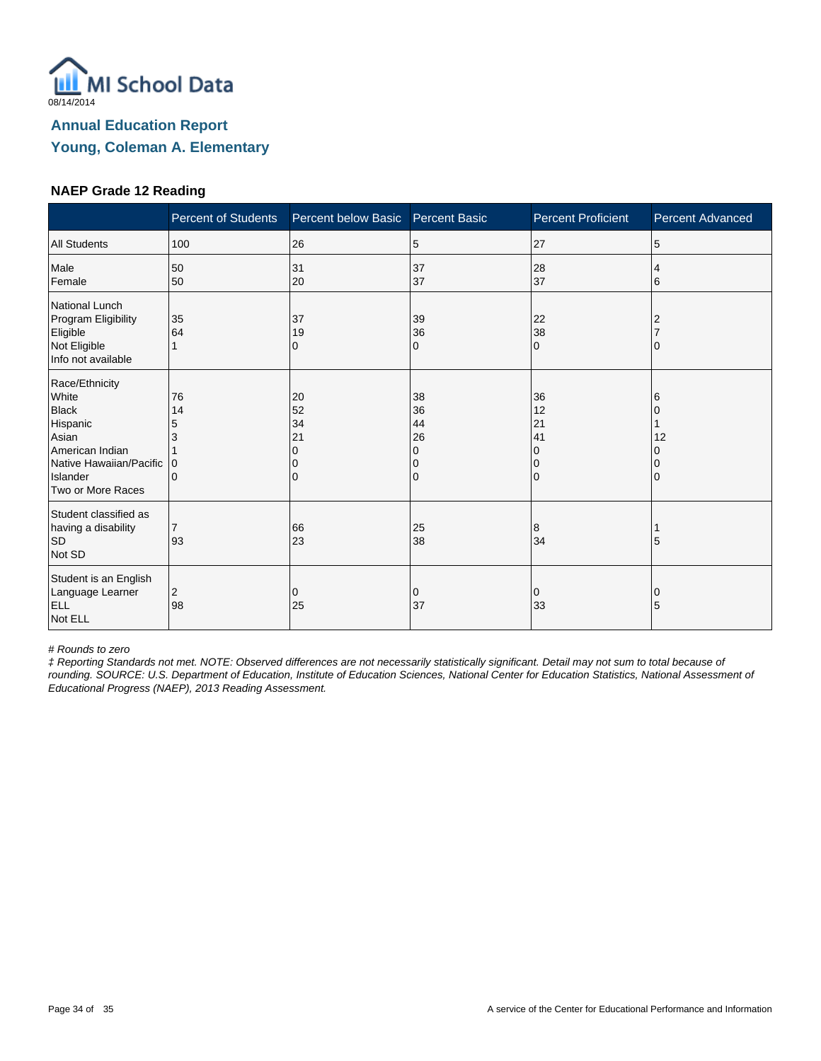

#### **NAEP Grade 12 Reading**

|                                                                                                                                             | <b>Percent of Students</b>          | Percent below Basic       | <b>Percent Basic</b>                | <b>Percent Proficient</b>             | <b>Percent Advanced</b> |
|---------------------------------------------------------------------------------------------------------------------------------------------|-------------------------------------|---------------------------|-------------------------------------|---------------------------------------|-------------------------|
| <b>All Students</b>                                                                                                                         | 100                                 | 26                        | 5                                   | 27                                    | 5                       |
| Male<br>Female                                                                                                                              | 50<br>50                            | 31<br>20                  | 37<br>37                            | 28<br>37                              | 4<br>6                  |
| National Lunch<br>Program Eligibility<br>Eligible<br>Not Eligible<br>Info not available                                                     | 35<br>64                            | 37<br>19<br>0             | 39<br>36<br>0                       | 22<br>38<br>$\Omega$                  |                         |
| Race/Ethnicity<br>White<br><b>Black</b><br>Hispanic<br>Asian<br>American Indian<br>Native Hawaiian/Pacific<br>Islander<br>Two or More Races | 76<br>14<br>5<br>3<br>0<br>$\Omega$ | 20<br>52<br>34<br>21<br>0 | 38<br>36<br>44<br>26<br>0<br>0<br>0 | 36<br>12<br>21<br>41<br>0<br>$\Omega$ | 6<br>12                 |
| Student classified as<br>having a disability<br><b>SD</b><br>Not SD                                                                         | $\overline{7}$<br>93                | 66<br>23                  | 25<br>38                            | 8<br>34                               | 5                       |
| Student is an English<br>Language Learner<br><b>ELL</b><br>Not ELL                                                                          | 2<br>98                             | 0<br>25                   | 0<br>37                             | 0<br>33                               | 0<br>5                  |

# Rounds to zero

‡ Reporting Standards not met. NOTE: Observed differences are not necessarily statistically significant. Detail may not sum to total because of rounding. SOURCE: U.S. Department of Education, Institute of Education Sciences, National Center for Education Statistics, National Assessment of Educational Progress (NAEP), 2013 Reading Assessment.